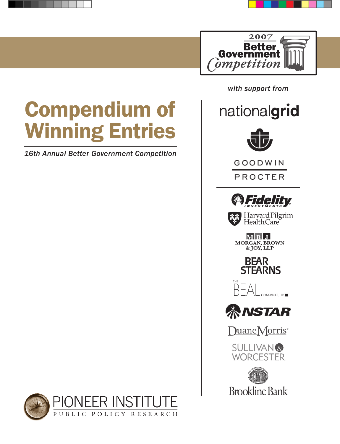

Compendium of Winning Entries

*16th Annual Better Government Competition*

 *with support from*

nationalgrid



GOODWIN

PROCTER



Harvard Pilgrim<br>\* Health Care

 $M$  $B$  $J$ MORGAN, BROWN







DuaneMorris<sup>®</sup>

**SULLIVAN® WORCESTER** 



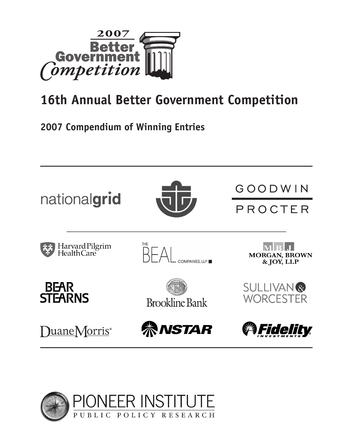

# **16th Annual Better Government Competition**

## **2007 Compendium of Winning Entries**



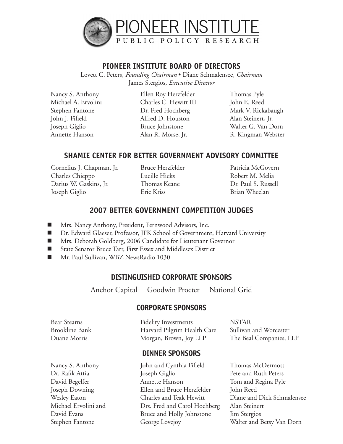

#### **PIONEER INSTITUTE BOARD OF DIRECTORS**

Lovett C. Peters, *Founding Chairman* • Diane Schmalensee, *Chairman* James Stergios, *Executive Director*

Nancy S. Anthony Michael A. Ervolini Stephen Fantone John J. Fifield Joseph Giglio Annette Hanson

Ellen Roy Herzfelder Charles C. Hewitt III Dr. Fred Hochberg Alfred D. Houston Bruce Johnstone Alan R. Morse, Jr.

Thomas Pyle John E. Reed Mark V. Rickabaugh Alan Steinert, Jr. Walter G. Van Dorn R. Kingman Webster

### **SHAMIE CENTER FOR BETTER GOVERNMENT ADVISORY COMMITTEE**

Cornelius J. Chapman, Jr. Charles Chieppo Darius W. Gaskins, Jr. Joseph Giglio

Bruce Herzfelder Lucille Hicks Thomas Keane Eric Kriss

Patricia McGovern Robert M. Melia Dr. Paul S. Russell Brian Wheelan

### **2007 BETTER GOVERNMENT COMPETITION JUDGES**

- Mrs. Nancy Anthony, President, Fernwood Advisors, Inc.
- Dr. Edward Glaeser, Professor, JFK School of Government, Harvard University
- Mrs. Deborah Goldberg, 2006 Candidate for Lieutenant Governor
- State Senator Bruce Tarr, First Essex and Middlesex District
- Mr. Paul Sullivan, WBZ NewsRadio 1030

#### **DISTINGUISHED CORPORATE SPONSORS**

Anchor Capital Goodwin Procter National Grid

#### **CORPORATE SPONSORS**

| Bear Stearns   | <b>Fidelity Investments</b> | <b>NSTAR</b>            |
|----------------|-----------------------------|-------------------------|
| Brookline Bank | Harvard Pilgrim Health Care | Sullivan and Worcester  |
| Duane Morris   | Morgan, Brown, Joy LLP      | The Beal Companies, LLP |

#### **DINNER SPONSORS**

Nancy S. Anthony Dr. Rafik Attia David Begelfer Joseph Downing Wesley Eaton Michael Ervolini and David Evans Stephen Fantone

John and Cynthia Fifield Joseph Giglio Annette Hanson Ellen and Bruce Herzfelder Charles and Teak Hewitt Drs. Fred and Carol Hochberg Bruce and Holly Johnstone George Lovejoy

Thomas McDermott Pete and Ruth Peters Tom and Regina Pyle John Reed Diane and Dick Schmalensee Alan Steinert Jim Stergios Walter and Betsy Van Dorn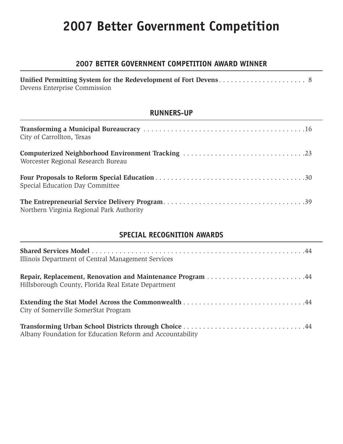# **2007 Better Government Competition**

### **2007 BETTER GOVERNMENT COMPETITION AWARD WINNER**

| Devens Enterprise Commission |  |
|------------------------------|--|

#### **RUNNERS-UP**

| City of Carrollton, Texas                 |
|-------------------------------------------|
| Worcester Regional Research Bureau        |
| Special Education Day Committee           |
| Northern Virginia Regional Park Authority |

### **SPECIAL RECOGNITION AWARDS**

| Illinois Department of Central Management Services        |
|-----------------------------------------------------------|
| Hillsborough County, Florida Real Estate Department       |
| City of Somerville SomerStat Program                      |
| Albany Foundation for Education Reform and Accountability |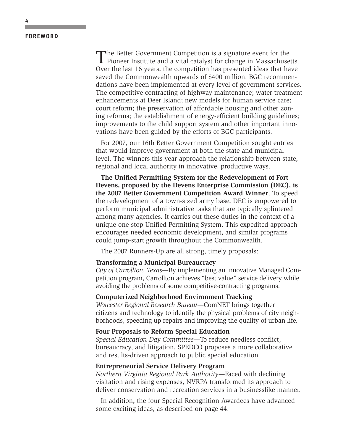#### **FOREWORD**

The Better Government Competition is a signature event for the Pioneer Institute and a vital catalyst for change in Massachusetts. Over the last 16 years, the competition has presented ideas that have saved the Commonwealth upwards of \$400 million. BGC recommendations have been implemented at every level of government services. The competitive contracting of highway maintenance; water treatment enhancements at Deer Island; new models for human service care; court reform; the preservation of affordable housing and other zoning reforms; the establishment of energy-efficient building guidelines; improvements to the child support system and other important innovations have been guided by the efforts of BGC participants.

For 2007, our 16th Better Government Competition sought entries that would improve government at both the state and municipal level. The winners this year approach the relationship between state, regional and local authority in innovative, productive ways.

**The Unified Permitting System for the Redevelopment of Fort Devens, proposed by the Devens Enterprise Commission (DEC), is the 2007 Better Government Competition Award Winner**. To speed the redevelopment of a town-sized army base, DEC is empowered to perform municipal administrative tasks that are typically splintered among many agencies. It carries out these duties in the context of a unique one-stop Unified Permitting System. This expedited approach encourages needed economic development, and similar programs could jump-start growth throughout the Commonwealth.

The 2007 Runners-Up are all strong, timely proposals:

#### **Transforming a Municipal Bureaucracy**

*City of Carrollton, Texas*—By implementing an innovative Managed Competition program, Carrollton achieves "best value" service delivery while avoiding the problems of some competitive-contracting programs.

#### **Computerized Neighborhood Environment Tracking**

*Worcester Regional Research Bureau*—ComNET brings together citizens and technology to identify the physical problems of city neighborhoods, speeding up repairs and improving the quality of urban life.

#### **Four Proposals to Reform Special Education**

*Special Education Day Committee*—To reduce needless conflict, bureaucracy, and litigation, SPEDCO proposes a more collaborative and results-driven approach to public special education.

#### **Entrepreneurial Service Delivery Program**

*Northern Virginia Regional Park Authority*—Faced with declining visitation and rising expenses, NVRPA transformed its approach to deliver conservation and recreation services in a businesslike manner.

In addition, the four Special Recognition Awardees have advanced some exciting ideas, as described on page 44.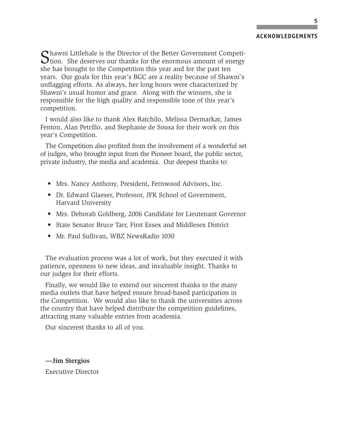#### **ACKNOWLEDGEMENTS**

Shawni Littlehale is the Director of the Better Government Competition. She deserves our thanks for the enormous amount of energy she has brought to the Competition this year and for the past ten years. Our goals for this year's BGC are a reality because of Shawni's unflagging efforts. As always, her long hours were characterized by Shawni's usual humor and grace. Along with the winners, she is responsible for the high quality and responsible tone of this year's competition.

I would also like to thank Alex Batchilo, Melissa Dermarkar, James Fenton, Alan Petrillo, and Stephanie de Sousa for their work on this year's Competition.

The Competition also profited from the involvement of a wonderful set of judges, who brought input from the Pioneer board, the public sector, private industry, the media and academia. Our deepest thanks to:

- Mrs. Nancy Anthony, President, Fernwood Advisors, Inc.
- Dr. Edward Glaeser, Professor, JFK School of Government, Harvard University
- Mrs. Deborah Goldberg, 2006 Candidate for Lieutenant Governor
- State Senator Bruce Tarr, First Essex and Middlesex District
- Mr. Paul Sullivan, WBZ NewsRadio 1030

The evaluation process was a lot of work, but they executed it with patience, openness to new ideas, and invaluable insight. Thanks to our judges for their efforts.

Finally, we would like to extend our sincerest thanks to the many media outlets that have helped ensure broad-based participation in the Competition. We would also like to thank the universities across the country that have helped distribute the competition guidelines, attracting many valuable entries from academia.

Our sincerest thanks to all of you.

**—Jim Stergios** Executive Director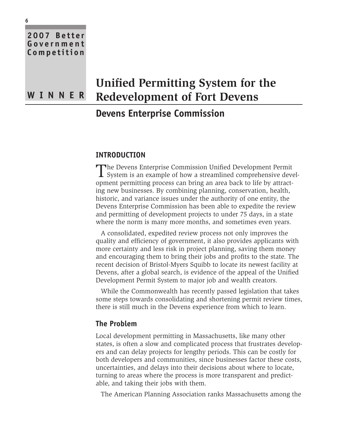## **Unified Permitting System for the Redevelopment of Fort Devens**

## **Devens Enterprise Commission**

#### **INTRODUCTION**

The Devens Enterprise Commission Unified Development Permit System is an example of how a streamlined comprehensive development permitting process can bring an area back to life by attracting new businesses. By combining planning, conservation, health, historic, and variance issues under the authority of one entity, the Devens Enterprise Commission has been able to expedite the review and permitting of development projects to under 75 days, in a state where the norm is many more months, and sometimes even years.

A consolidated, expedited review process not only improves the quality and efficiency of government, it also provides applicants with more certainty and less risk in project planning, saving them money and encouraging them to bring their jobs and profits to the state. The recent decision of Bristol-Myers Squibb to locate its newest facility at Devens, after a global search, is evidence of the appeal of the Unified Development Permit System to major job and wealth creators.

While the Commonwealth has recently passed legislation that takes some steps towards consolidating and shortening permit review times, there is still much in the Devens experience from which to learn.

#### **The Problem**

Local development permitting in Massachusetts, like many other states, is often a slow and complicated process that frustrates developers and can delay projects for lengthy periods. This can be costly for both developers and communities, since businesses factor these costs, uncertainties, and delays into their decisions about where to locate, turning to areas where the process is more transparent and predictable, and taking their jobs with them.

The American Planning Association ranks Massachusetts among the

**2007 Better Government Competition**

**W INN E R**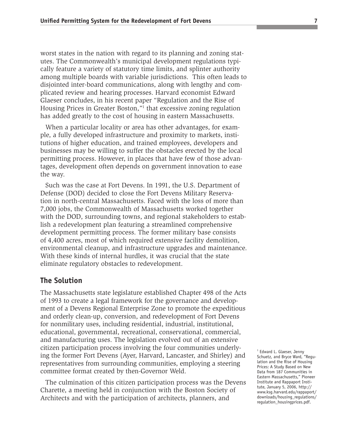worst states in the nation with regard to its planning and zoning statutes. The Commonwealth's municipal development regulations typically feature a variety of statutory time limits, and splinter authority among multiple boards with variable jurisdictions. This often leads to disjointed inter-board communications, along with lengthy and complicated review and hearing processes. Harvard economist Edward Glaeser concludes, in his recent paper "Regulation and the Rise of Housing Prices in Greater Boston,"<sup>1</sup> that excessive zoning regulation has added greatly to the cost of housing in eastern Massachusetts.

When a particular locality or area has other advantages, for example, a fully developed infrastructure and proximity to markets, institutions of higher education, and trained employees, developers and businesses may be willing to suffer the obstacles erected by the local permitting process. However, in places that have few of those advantages, development often depends on government innovation to ease the way.

Such was the case at Fort Devens. In 1991, the U.S. Department of Defense (DOD) decided to close the Fort Devens Military Reservation in north-central Massachusetts. Faced with the loss of more than 7,000 jobs, the Commonwealth of Massachusetts worked together with the DOD, surrounding towns, and regional stakeholders to establish a redevelopment plan featuring a streamlined comprehensive development permitting process. The former military base consists of 4,400 acres, most of which required extensive facility demolition, environmental cleanup, and infrastructure upgrades and maintenance. With these kinds of internal hurdles, it was crucial that the state eliminate regulatory obstacles to redevelopment.

#### **The Solution**

The Massachusetts state legislature established Chapter 498 of the Acts of 1993 to create a legal framework for the governance and development of a Devens Regional Enterprise Zone to promote the expeditious and orderly clean-up, conversion, and redevelopment of Fort Devens for nonmilitary uses, including residential, industrial, institutional, educational, governmental, recreational, conservational, commercial, and manufacturing uses. The legislation evolved out of an extensive citizen participation process involving the four communities underlying the former Fort Devens (Ayer, Harvard, Lancaster, and Shirley) and representatives from surrounding communities, employing a steering committee format created by then-Governor Weld.

The culmination of this citizen participation process was the Devens Charette, a meeting held in conjunction with the Boston Society of Architects and with the participation of architects, planners, and

<sup>1</sup> Edward L. Glaeser, Jenny Schuetz, and Bryce Ward, "Regulation and the Rise of Housing Prices: A Study Based on New Data from 187 Communities in Eastern Massachusetts," Pioneer Institute and Rappaport Institute, January 5, 2006, http:// www.ksg.harvard.edu/rappaport/ downloads/housing\_regulations/ regulation\_housingprices.pdf.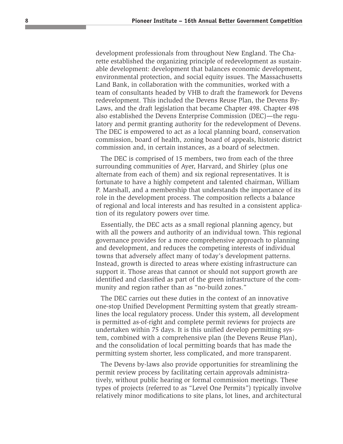development professionals from throughout New England. The Charette established the organizing principle of redevelopment as sustainable development: development that balances economic development, environmental protection, and social equity issues. The Massachusetts Land Bank, in collaboration with the communities, worked with a team of consultants headed by VHB to draft the framework for Devens redevelopment. This included the Devens Reuse Plan, the Devens By-Laws, and the draft legislation that became Chapter 498. Chapter 498 also established the Devens Enterprise Commission (DEC)—the regulatory and permit granting authority for the redevelopment of Devens. The DEC is empowered to act as a local planning board, conservation commission, board of health, zoning board of appeals, historic district commission and, in certain instances, as a board of selectmen.

The DEC is comprised of 15 members, two from each of the three surrounding communities of Ayer, Harvard, and Shirley (plus one alternate from each of them) and six regional representatives. It is fortunate to have a highly competent and talented chairman, William P. Marshall, and a membership that understands the importance of its role in the development process. The composition reflects a balance of regional and local interests and has resulted in a consistent application of its regulatory powers over time.

Essentially, the DEC acts as a small regional planning agency, but with all the powers and authority of an individual town. This regional governance provides for a more comprehensive approach to planning and development, and reduces the competing interests of individual towns that adversely affect many of today's development patterns. Instead, growth is directed to areas where existing infrastructure can support it. Those areas that cannot or should not support growth are identified and classified as part of the green infrastructure of the community and region rather than as "no-build zones."

The DEC carries out these duties in the context of an innovative one-stop Unified Development Permitting system that greatly streamlines the local regulatory process. Under this system, all development is permitted as-of-right and complete permit reviews for projects are undertaken within 75 days. It is this unified develop permitting system, combined with a comprehensive plan (the Devens Reuse Plan), and the consolidation of local permitting boards that has made the permitting system shorter, less complicated, and more transparent.

The Devens by-laws also provide opportunities for streamlining the permit review process by facilitating certain approvals administratively, without public hearing or formal commission meetings. These types of projects (referred to as "Level One Permits") typically involve relatively minor modifications to site plans, lot lines, and architectural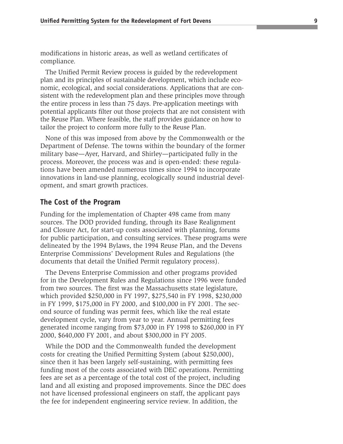modifications in historic areas, as well as wetland certificates of compliance.

The Unified Permit Review process is guided by the redevelopment plan and its principles of sustainable development, which include economic, ecological, and social considerations. Applications that are consistent with the redevelopment plan and these principles move through the entire process in less than 75 days. Pre-application meetings with potential applicants filter out those projects that are not consistent with the Reuse Plan. Where feasible, the staff provides guidance on how to tailor the project to conform more fully to the Reuse Plan.

None of this was imposed from above by the Commonwealth or the Department of Defense. The towns within the boundary of the former military base—Ayer, Harvard, and Shirley—participated fully in the process. Moreover, the process was and is open-ended: these regulations have been amended numerous times since 1994 to incorporate innovations in land-use planning, ecologically sound industrial development, and smart growth practices.

#### **The Cost of the Program**

Funding for the implementation of Chapter 498 came from many sources. The DOD provided funding, through its Base Realignment and Closure Act, for start-up costs associated with planning, forums for public participation, and consulting services. These programs were delineated by the 1994 Bylaws, the 1994 Reuse Plan, and the Devens Enterprise Commissions' Development Rules and Regulations (the documents that detail the Unified Permit regulatory process).

The Devens Enterprise Commission and other programs provided for in the Development Rules and Regulations since 1996 were funded from two sources. The first was the Massachusetts state legislature, which provided \$250,000 in FY 1997, \$275,540 in FY 1998, \$230,000 in FY 1999, \$175,000 in FY 2000, and \$100,000 in FY 2001. The second source of funding was permit fees, which like the real estate development cycle, vary from year to year. Annual permitting fees generated income ranging from \$73,000 in FY 1998 to \$260,000 in FY 2000, \$640,000 FY 2001, and about \$300,000 in FY 2005.

While the DOD and the Commonwealth funded the development costs for creating the Unified Permitting System (about \$250,000), since then it has been largely self-sustaining, with permitting fees funding most of the costs associated with DEC operations. Permitting fees are set as a percentage of the total cost of the project, including land and all existing and proposed improvements. Since the DEC does not have licensed professional engineers on staff, the applicant pays the fee for independent engineering service review. In addition, the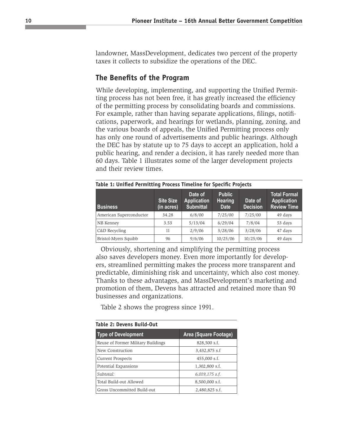landowner, MassDevelopment, dedicates two percent of the property taxes it collects to subsidize the operations of the DEC.

#### **The Benefits of the Program**

While developing, implementing, and supporting the Unified Permitting process has not been free, it has greatly increased the efficiency of the permitting process by consolidating boards and commissions. For example, rather than having separate applications, filings, notifications, paperwork, and hearings for wetlands, planning, zoning, and the various boards of appeals, the Unified Permitting process only has only one round of advertisements and public hearings. Although the DEC has by statute up to 75 days to accept an application, hold a public hearing, and render a decision, it has rarely needed more than 60 days. Table 1 illustrates some of the larger development projects and their review times.

| <b>Business</b>         | <b>Site Size</b><br>(in acres) | Date of<br><b>Application</b><br><b>Submittal</b> | <b>Public</b><br><b>Hearing</b><br><b>Date</b> | Date of<br><b>Decision</b> | <b>Total Formal</b><br><b>Application</b><br><b>Review Time</b> |  |
|-------------------------|--------------------------------|---------------------------------------------------|------------------------------------------------|----------------------------|-----------------------------------------------------------------|--|
| American Superconductor | 34.28                          | 6/8/00                                            | 7/25/00                                        | 7/25/00                    | 49 days                                                         |  |
| NB Kenney               | 3.53                           | 5/13/04                                           | 6/29/04                                        | 7/8/04                     | 53 days                                                         |  |
| C&D Recycling           | 11                             | 2/9/06                                            | 3/28/06                                        | 3/28/06                    | 47 days                                                         |  |
| Bristol-Myers Squibb    | 96                             | 9/6/06                                            | 10/25/06                                       | 10/25/06                   | 49 days                                                         |  |

| Table 1: Unified Permitting Process Timeline for Specific Projects |  |  |  |
|--------------------------------------------------------------------|--|--|--|
|--------------------------------------------------------------------|--|--|--|

Obviously, shortening and simplifying the permitting process also saves developers money. Even more importantly for developers, streamlined permitting makes the process more transparent and predictable, diminishing risk and uncertainty, which also cost money. Thanks to these advantages, and MassDevelopment's marketing and promotion of them, Devens has attracted and retained more than 90 businesses and organizations.

Table 2 shows the progress since 1991.

**Table 2: Devens Build-Out**

| Table 2: Devens Build-Out          |                              |  |  |  |
|------------------------------------|------------------------------|--|--|--|
| <b>Type of Development</b>         | <b>Area (Square Footage)</b> |  |  |  |
| Reuse of Former Military Buildings | 828,500 s.f.                 |  |  |  |
| New Construction                   | 3,432,875 s.f                |  |  |  |
| <b>Current Prospects</b>           | 455,000 s.f.                 |  |  |  |
| Potential Expansions               | 1,302,800 s.f.               |  |  |  |
| Subtotal:                          | $6,019,175$ s.f.             |  |  |  |
| Total Build-out Allowed            | 8,500,000 s.f.               |  |  |  |
| Gross Uncommitted Build-out        | 2,480,825 s.f.               |  |  |  |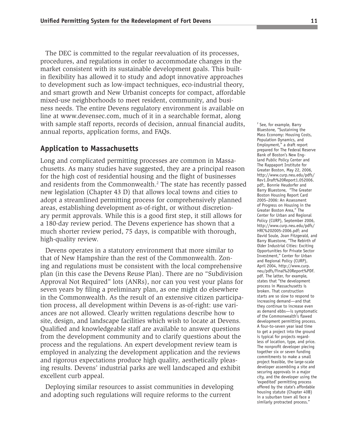The DEC is committed to the regular reevaluation of its processes, procedures, and regulations in order to accommodate changes in the market consistent with its sustainable development goals. This builtin flexibility has allowed it to study and adopt innovative approaches to development such as low-impact techniques, eco-industrial theory, and smart growth and New Urbanist concepts for compact, affordable mixed-use neighborhoods to meet resident, community, and business needs. The entire Devens regulatory environment is available on line at www.devensec.com, much of it in a searchable format, along with sample staff reports, records of decision, annual financial audits, annual reports, application forms, and FAQs.

#### **Application to Massachusetts**

Long and complicated permitting processes are common in Massachusetts. As many studies have suggested, they are a principal reason for the high cost of residential housing and the flight of businesses and residents from the Commonwealth.<sup>2</sup> The state has recently passed new legislation (Chapter 43 D) that allows local towns and cities to adopt a streamlined permitting process for comprehensively planned areas, establishing development as-of-right, or without discretionary permit approvals. While this is a good first step, it still allows for a 180-day review period. The Devens experience has shown that a much shorter review period, 75 days, is compatible with thorough, high-quality review.

Devens operates in a statutory environment that more similar to that of New Hampshire than the rest of the Commonwealth. Zoning and regulations must be consistent with the local comprehensive plan (in this case the Devens Reuse Plan). There are no "Subdivision Approval Not Required" lots (ANRs), nor can you vest your plans for seven years by filing a preliminary plan, as one might do elsewhere in the Commonwealth. As the result of an extensive citizen participation process, all development within Devens is as-of-right: use variances are not allowed. Clearly written regulations describe how to site, design, and landscape facilities which wish to locate at Devens. Qualified and knowledgeable staff are available to answer questions from the development community and to clarify questions about the process and the regulations. An expert development review team is employed in analyzing the development application and the reviews and rigorous expectations produce high quality, aesthetically pleasing results. Devens' industrial parks are well landscaped and exhibit excellent curb appeal.

Deploying similar resources to assist communities in developing and adopting such regulations will require reforms to the current

<sup>2</sup> See, for example, Barry Bluestone, "Sustaining the Mass Economy: Housing Costs, Population Dynamics, and Employment," a draft report prepared for The Federal Reserve Bank of Boston's New England Public Policy Center and The Rappaport Institute for Greater Boston, May 22, 2006, http://www.curp.neu.edu/pdfs/ Rev1.Draft%20Report1.052006. pdf;, Bonnie Heudorfer and Barry Bluestone, "The Greater Boston Housing Report Card 2005–2006: An Assessment of Progress on Housing in the Greater Boston Area," The Center for Urban and Regional Policy (CURP), September 2006, http://www.curp.neu.edu/pdfs/ HRC%202005-2006.pdf; and David Soule, Joan Fitzgerald, and Barry Bluestone, "The Rebirth of Older Industrial Cities: Exciting Opportunities for Private Sector Investment," Center for Urban and Regional Policy (CURP), April 2004, http://www.curp. neu/pdfs/Final%20Report%PDF. pdf. The latter, for example, states that "the development process in Massachusetts is broken. That construction starts are so slow to respond to increasing demand—and that they continue to increase even as demand ebbs—is symptomatic of the Commonwealth's flawed development permitting process. A four-to-seven year lead time to get a project into the ground is typical for projects regardless of location, type, and price. The nonprofit developer piecing together six or seven funding commitments to make a small project feasible, the large-scale developer assembling a site and securing approvals in a major city, and the developer using the 'expedited' permitting process offered by the state's affordable housing statute (Chapter 40B) in a suburban town all face a similarly protracted process.'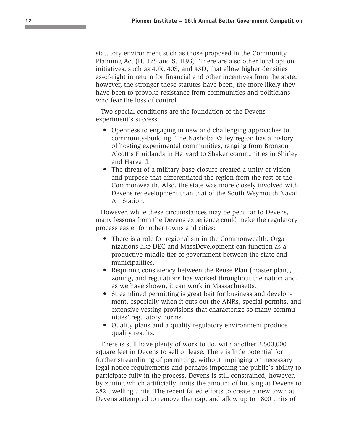statutory environment such as those proposed in the Community Planning Act (H. 175 and S. 1193). There are also other local option initiatives, such as 40R, 40S, and 43D, that allow higher densities as-of-right in return for financial and other incentives from the state; however, the stronger these statutes have been, the more likely they have been to provoke resistance from communities and politicians who fear the loss of control.

Two special conditions are the foundation of the Devens experiment's success:

- Openness to engaging in new and challenging approaches to community-building. The Nashoba Valley region has a history of hosting experimental communities, ranging from Bronson Alcott's Fruitlands in Harvard to Shaker communities in Shirley and Harvard.
- The threat of a military base closure created a unity of vision and purpose that differentiated the region from the rest of the Commonwealth. Also, the state was more closely involved with Devens redevelopment than that of the South Weymouth Naval Air Station.

However, while these circumstances may be peculiar to Devens, many lessons from the Devens experience could make the regulatory process easier for other towns and cities:

- There is a role for regionalism in the Commonwealth. Organizations like DEC and MassDevelopment can function as a productive middle tier of government between the state and municipalities.
- Requiring consistency between the Reuse Plan (master plan), zoning, and regulations has worked throughout the nation and, as we have shown, it can work in Massachusetts.
- Streamlined permitting is great bait for business and development, especially when it cuts out the ANRs, special permits, and extensive vesting provisions that characterize so many communities' regulatory norms.
- Quality plans and a quality regulatory environment produce quality results.

There is still have plenty of work to do, with another 2,500,000 square feet in Devens to sell or lease. There is little potential for further streamlining of permitting, without impinging on necessary legal notice requirements and perhaps impeding the public's ability to participate fully in the process. Devens is still constrained, however, by zoning which artificially limits the amount of housing at Devens to 282 dwelling units. The recent failed efforts to create a new town at Devens attempted to remove that cap, and allow up to 1800 units of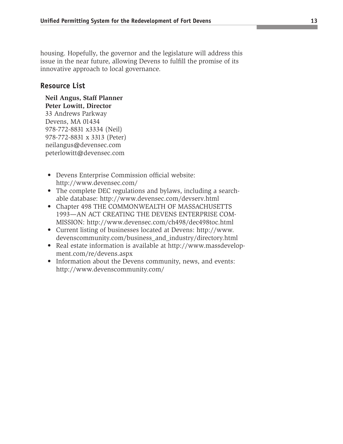housing. Hopefully, the governor and the legislature will address this issue in the near future, allowing Devens to fulfill the promise of its innovative approach to local governance.

#### **Resource List**

**Neil Angus, Staff Planner Peter Lowitt, Director** 33 Andrews Parkway Devens, MA 01434 978-772-8831 x3334 (Neil) 978-772-8831 x 3313 (Peter) neilangus@devensec.com peterlowitt@devensec.com

- Devens Enterprise Commission official website: http://www.devensec.com/
- The complete DEC regulations and bylaws, including a searchable database: http://www.devensec.com/devserv.html
- Chapter 498 THE COMMONWEALTH OF MASSACHUSETTS 1993—AN ACT CREATING THE DEVENS ENTERPRISE COM-MISSION: http://www.devensec.com/ch498/dec498toc.html
- Current listing of businesses located at Devens: http://www. devenscommunity.com/business\_and\_industry/directory.html
- Real estate information is available at http://www.massdevelopment.com/re/devens.aspx
- Information about the Devens community, news, and events: http://www.devenscommunity.com/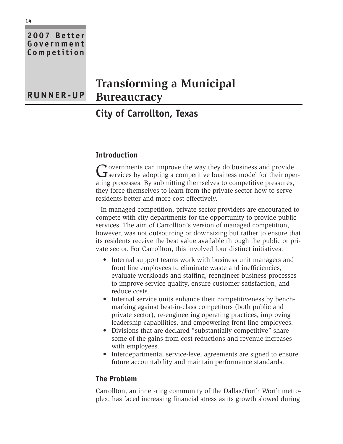## **2007 Better Government Competition Transforming a Municipal Bureaucracy RUNNER-UP**

## **City of Carrollton, Texas**

#### **Introduction**

Governments can improve the way they do business and provide<br>
Services by adopting a competitive business model for their operating processes. By submitting themselves to competitive pressures, they force themselves to learn from the private sector how to serve residents better and more cost effectively.

In managed competition, private sector providers are encouraged to compete with city departments for the opportunity to provide public services. The aim of Carrollton's version of managed competition, however, was not outsourcing or downsizing but rather to ensure that its residents receive the best value available through the public or private sector. For Carrollton, this involved four distinct initiatives:

- Internal support teams work with business unit managers and front line employees to eliminate waste and inefficiencies, evaluate workloads and staffing, reengineer business processes to improve service quality, ensure customer satisfaction, and reduce costs.
- Internal service units enhance their competitiveness by benchmarking against best-in-class competitors (both public and private sector), re-engineering operating practices, improving leadership capabilities, and empowering front-line employees.
- Divisions that are declared "substantially competitive" share some of the gains from cost reductions and revenue increases with employees.
- Interdepartmental service-level agreements are signed to ensure future accountability and maintain performance standards.

#### **The Problem**

Carrollton, an inner-ring community of the Dallas/Forth Worth metroplex, has faced increasing financial stress as its growth slowed during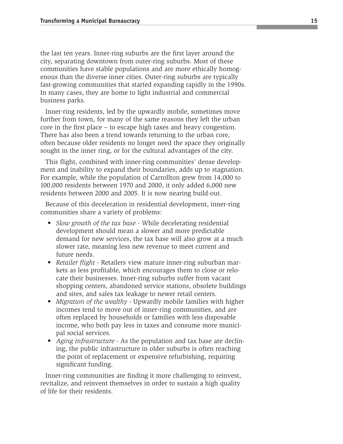the last ten years. Inner-ring suburbs are the first layer around the city, separating downtown from outer-ring suburbs. Most of these communities have stable populations and are more ethically homogenous than the diverse inner cities. Outer-ring suburbs are typically fast-growing communities that started expanding rapidly in the 1990s. In many cases, they are home to light industrial and commercial business parks.

Inner-ring residents, led by the upwardly mobile, sometimes move further from town, for many of the same reasons they left the urban core in the first place – to escape high taxes and heavy congestion. There has also been a trend towards returning to the urban core, often because older residents no longer need the space they originally sought in the inner ring, or for the cultural advantages of the city.

This flight, combined with inner-ring communities' dense development and inability to expand their boundaries, adds up to stagnation. For example, while the population of Carrollton grew from 14,000 to 100,000 residents between 1970 and 2000, it only added 6,000 new residents between 2000 and 2005. It is now nearing build-out.

Because of this deceleration in residential development, inner-ring communities share a variety of problems:

- *Slow growth of the tax base* While decelerating residential development should mean a slower and more predictable demand for new services, the tax base will also grow at a much slower rate, meaning less new revenue to meet current and future needs.
- *Retailer flight*  Retailers view mature inner-ring suburban markets as less profitable, which encourages them to close or relocate their businesses. Inner-ring suburbs suffer from vacant shopping centers, abandoned service stations, obsolete buildings and sites, and sales tax leakage to newer retail centers.
- *Migration of the wealthy* Upwardly mobile families with higher incomes tend to move out of inner-ring communities, and are often replaced by households or families with less disposable income, who both pay less in taxes and consume more municipal social services.
- *Aging infrastructure* As the population and tax base are declining, the public infrastructure in older suburbs is often reaching the point of replacement or expensive refurbishing, requiring significant funding.

Inner-ring communities are finding it more challenging to reinvest, revitalize, and reinvent themselves in order to sustain a high quality of life for their residents.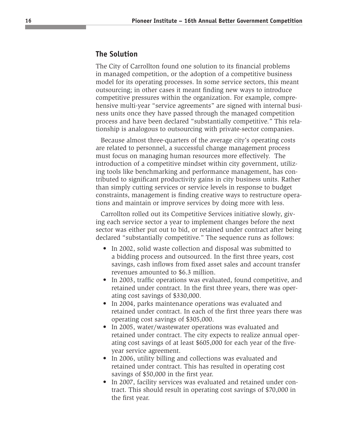#### **The Solution**

The City of Carrollton found one solution to its financial problems in managed competition, or the adoption of a competitive business model for its operating processes. In some service sectors, this meant outsourcing; in other cases it meant finding new ways to introduce competitive pressures within the organization. For example, comprehensive multi-year "service agreements" are signed with internal business units once they have passed through the managed competition process and have been declared "substantially competitive." This relationship is analogous to outsourcing with private-sector companies.

Because almost three-quarters of the average city's operating costs are related to personnel, a successful change management process must focus on managing human resources more effectively. The introduction of a competitive mindset within city government, utilizing tools like benchmarking and performance management, has contributed to significant productivity gains in city business units. Rather than simply cutting services or service levels in response to budget constraints, management is finding creative ways to restructure operations and maintain or improve services by doing more with less.

Carrollton rolled out its Competitive Services initiative slowly, giving each service sector a year to implement changes before the next sector was either put out to bid, or retained under contract after being declared "substantially competitive." The sequence runs as follows:

- In 2002, solid waste collection and disposal was submitted to a bidding process and outsourced. In the first three years, cost savings, cash inflows from fixed asset sales and account transfer revenues amounted to \$6.3 million.
- In 2003, traffic operations was evaluated, found competitive, and retained under contract. In the first three years, there was operating cost savings of \$330,000.
- In 2004, parks maintenance operations was evaluated and retained under contract. In each of the first three years there was operating cost savings of \$305,000.
- In 2005, water/wastewater operations was evaluated and retained under contract. The city expects to realize annual operating cost savings of at least \$605,000 for each year of the fiveyear service agreement.
- In 2006, utility billing and collections was evaluated and retained under contract. This has resulted in operating cost savings of \$50,000 in the first year.
- In 2007, facility services was evaluated and retained under contract. This should result in operating cost savings of \$70,000 in the first year.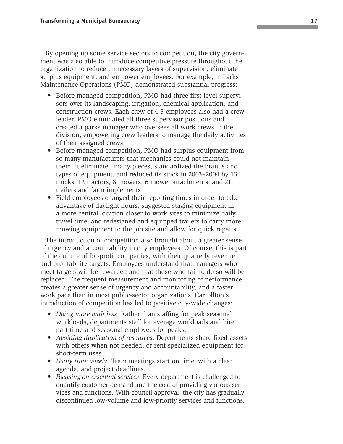By opening up some service sectors to competition, the city government was also able to introduce competitive pressure throughout the organization to reduce unnecessary layers of supervision, eliminate surplus equipment, and empower employees. For example, in Parks Maintenance Operations (PMO) demonstrated substantial progress:

- Before managed competition, PMO had three first-level supervisors over its landscaping, irrigation, chemical application, and construction crews. Each crew of 4-5 employees also had a crew leader. PMO eliminated all three supervisor positions and created a parks manager who oversees all work crews in the division, empowering crew leaders to manage the daily activities of their assigned crews.
- Before managed competition, PMO had surplus equipment from so many manufacturers that mechanics could not maintain them. It eliminated many pieces, standardized the brands and types of equipment, and reduced its stock in 2003–2004 by 13 trucks, 12 tractors, 8 mowers, 6 mower attachments, and 21 trailers and farm implements.
- Field employees changed their reporting times in order to take advantage of daylight hours, suggested staging equipment in a more central location closer to work sites to minimize daily travel time, and redesigned and equipped trailers to carry more mowing equipment to the job site and allow for quick repairs.

The introduction of competition also brought about a greater sense of urgency and accountability in city employees. Of course, this is part of the culture of for-profit companies, with their quarterly revenue and profitability targets. Employees understand that managers who meet targets will be rewarded and that those who fail to do so will be replaced. The frequent measurement and monitoring of performance creates a greater sense of urgency and accountability, and a faster work pace than in most public-sector organizations. Carrollton's introduction of competition has led to positive city-wide changes:

- *Doing more with less*. Rather than staffing for peak seasonal workloads, departments staff for average workloads and hire part-time and seasonal employees for peaks.
- *Avoiding duplication of resources*. Departments share fixed assets with others when not needed, or rent specialized equipment for short-term uses.
- *Using time wisely*. Team meetings start on time, with a clear agenda, and project deadlines.
- *Focusing on essential services*. Every department is challenged to quantify customer demand and the cost of providing various services and functions. With council approval, the city has gradually discontinued low-volume and low-priority services and functions.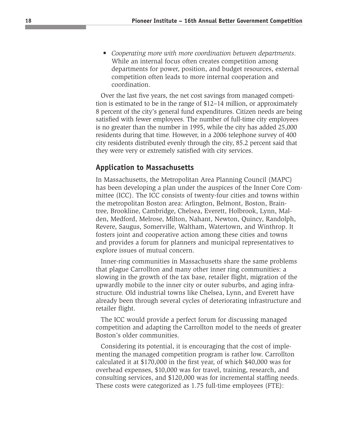• *Cooperating more with more coordination between departments*. While an internal focus often creates competition among departments for power, position, and budget resources, external competition often leads to more internal cooperation and coordination.

Over the last five years, the net cost savings from managed competition is estimated to be in the range of \$12–14 million, or approximately 8 percent of the city's general fund expenditures. Citizen needs are being satisfied with fewer employees. The number of full-time city employees is no greater than the number in 1995, while the city has added 25,000 residents during that time. However, in a 2006 telephone survey of 400 city residents distributed evenly through the city, 85.2 percent said that they were very or extremely satisfied with city services.

#### **Application to Massachusetts**

In Massachusetts, the Metropolitan Area Planning Council (MAPC) has been developing a plan under the auspices of the Inner Core Committee (ICC). The ICC consists of twenty-four cities and towns within the metropolitan Boston area: Arlington, Belmont, Boston, Braintree, Brookline, Cambridge, Chelsea, Everett, Holbrook, Lynn, Malden, Medford, Melrose, Milton, Nahant, Newton, Quincy, Randolph, Revere, Saugus, Somerville, Waltham, Watertown, and Winthrop. It fosters joint and cooperative action among these cities and towns and provides a forum for planners and municipal representatives to explore issues of mutual concern.

Inner-ring communities in Massachusetts share the same problems that plague Carrollton and many other inner ring communities: a slowing in the growth of the tax base, retailer flight, migration of the upwardly mobile to the inner city or outer suburbs, and aging infrastructure. Old industrial towns like Chelsea, Lynn, and Everett have already been through several cycles of deteriorating infrastructure and retailer flight.

The ICC would provide a perfect forum for discussing managed competition and adapting the Carrollton model to the needs of greater Boston's older communities.

Considering its potential, it is encouraging that the cost of implementing the managed competition program is rather low. Carrollton calculated it at \$170,000 in the first year, of which \$40,000 was for overhead expenses, \$10,000 was for travel, training, research, and consulting services, and \$120,000 was for incremental staffing needs. These costs were categorized as 1.75 full-time employees (FTE):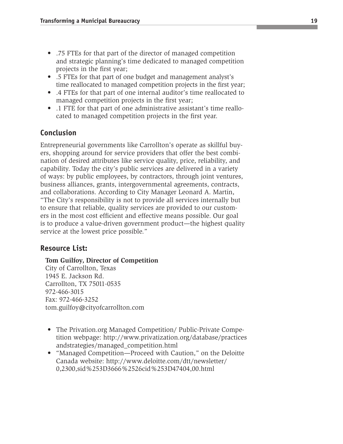- .75 FTEs for that part of the director of managed competition and strategic planning's time dedicated to managed competition projects in the first year;
- .5 FTEs for that part of one budget and management analyst's time reallocated to managed competition projects in the first year;
- .4 FTEs for that part of one internal auditor's time reallocated to managed competition projects in the first year;
- .1 FTE for that part of one administrative assistant's time reallocated to managed competition projects in the first year.

### **Conclusion**

Entrepreneurial governments like Carrollton's operate as skillful buyers, shopping around for service providers that offer the best combination of desired attributes like service quality, price, reliability, and capability. Today the city's public services are delivered in a variety of ways: by public employees, by contractors, through joint ventures, business alliances, grants, intergovernmental agreements, contracts, and collaborations. According to City Manager Leonard A. Martin, "The City's responsibility is not to provide all services internally but to ensure that reliable, quality services are provided to our customers in the most cost efficient and effective means possible. Our goal is to produce a value-driven government product—the highest quality service at the lowest price possible."

#### **Resource List:**

#### **Tom Guilfoy, Director of Competition**

City of Carrollton, Texas 1945 E. Jackson Rd. Carrollton, TX 75011-0535 972-466-3015 Fax: 972-466-3252 tom.guilfoy@cityofcarrollton.com

- The Privation.org Managed Competition/ Public-Private Competition webpage: http://www.privatization.org/database/practices andstrategies/managed\_competition.html
- "Managed Competition—Proceed with Caution," on the Deloitte Canada website: http://www.deloitte.com/dtt/newsletter/ 0,2300,sid%253D3666%2526cid%253D47404,00.html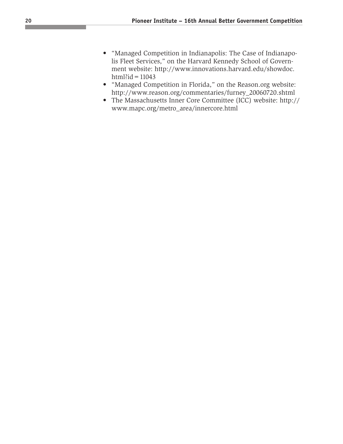- "Managed Competition in Indianapolis: The Case of Indianapolis Fleet Services," on the Harvard Kennedy School of Government website: http://www.innovations.harvard.edu/showdoc. html?id =  $11043$
- "Managed Competition in Florida," on the Reason.org website: http://www.reason.org/commentaries/furney\_20060720.shtml
- The Massachusetts Inner Core Committee (ICC) website: http:// www.mapc.org/metro\_area/innercore.html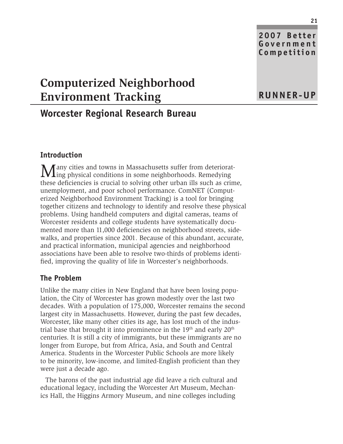**2007 Better Government Competition**

## **Computerized Neighborhood Environment Tracking**

## **Worcester Regional Research Bureau**

#### **Introduction**

Many cities and towns in Massachusetts suffer from deteriorat-<br>ing physical conditions in some neighborhoods. Remedying these deficiencies is crucial to solving other urban ills such as crime, unemployment, and poor school performance. ComNET (Computerized Neighborhood Environment Tracking) is a tool for bringing together citizens and technology to identify and resolve these physical problems. Using handheld computers and digital cameras, teams of Worcester residents and college students have systematically documented more than 11,000 deficiencies on neighborhood streets, sidewalks, and properties since 2001. Because of this abundant, accurate, and practical information, municipal agencies and neighborhood associations have been able to resolve two-thirds of problems identified, improving the quality of life in Worcester's neighborhoods.

#### **The Problem**

Unlike the many cities in New England that have been losing population, the City of Worcester has grown modestly over the last two decades. With a population of 175,000, Worcester remains the second largest city in Massachusetts. However, during the past few decades, Worcester, like many other cities its age, has lost much of the industrial base that brought it into prominence in the  $19<sup>th</sup>$  and early  $20<sup>th</sup>$ centuries. It is still a city of immigrants, but these immigrants are no longer from Europe, but from Africa, Asia, and South and Central America. Students in the Worcester Public Schools are more likely to be minority, low-income, and limited-English proficient than they were just a decade ago.

The barons of the past industrial age did leave a rich cultural and educational legacy, including the Worcester Art Museum, Mechanics Hall, the Higgins Armory Museum, and nine colleges including

## **RUNNER-UP**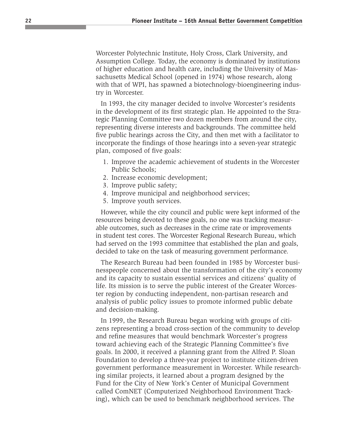Worcester Polytechnic Institute, Holy Cross, Clark University, and Assumption College. Today, the economy is dominated by institutions of higher education and health care, including the University of Massachusetts Medical School (opened in 1974) whose research, along with that of WPI, has spawned a biotechnology-bioengineering industry in Worcester.

In 1993, the city manager decided to involve Worcester's residents in the development of its first strategic plan. He appointed to the Strategic Planning Committee two dozen members from around the city, representing diverse interests and backgrounds. The committee held five public hearings across the City, and then met with a facilitator to incorporate the findings of those hearings into a seven-year strategic plan, composed of five goals:

- 1. Improve the academic achievement of students in the Worcester Public Schools;
- 2. Increase economic development;
- 3. Improve public safety;
- 4. Improve municipal and neighborhood services;
- 5. Improve youth services.

However, while the city council and public were kept informed of the resources being devoted to these goals, no one was tracking measurable outcomes, such as decreases in the crime rate or improvements in student test cores. The Worcester Regional Research Bureau, which had served on the 1993 committee that established the plan and goals, decided to take on the task of measuring government performance.

The Research Bureau had been founded in 1985 by Worcester businesspeople concerned about the transformation of the city's economy and its capacity to sustain essential services and citizens' quality of life. Its mission is to serve the public interest of the Greater Worcester region by conducting independent, non-partisan research and analysis of public policy issues to promote informed public debate and decision-making.

In 1999, the Research Bureau began working with groups of citizens representing a broad cross-section of the community to develop and refine measures that would benchmark Worcester's progress toward achieving each of the Strategic Planning Committee's five goals. In 2000, it received a planning grant from the Alfred P. Sloan Foundation to develop a three-year project to institute citizen-driven government performance measurement in Worcester. While researching similar projects, it learned about a program designed by the Fund for the City of New York's Center of Municipal Government called ComNET (Computerized Neighborhood Environment Tracking), which can be used to benchmark neighborhood services. The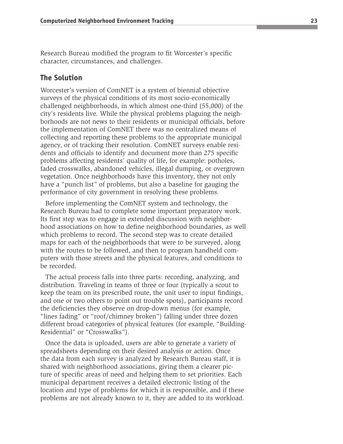Research Bureau modified the program to fit Worcester's specific character, circumstances, and challenges.

#### **The Solution**

Worcester's version of ComNET is a system of biennial objective surveys of the physical conditions of its most socio-economically challenged neighborhoods, in which almost one-third (55,000) of the city's residents live. While the physical problems plaguing the neighborhoods are not news to their residents or municipal officials, before the implementation of ComNET there was no centralized means of collecting and reporting these problems to the appropriate municipal agency, or of tracking their resolution. ComNET surveys enable residents and officials to identify and document more than 275 specific problems affecting residents' quality of life, for example: potholes, faded crosswalks, abandoned vehicles, illegal dumping, or overgrown vegetation. Once neighborhoods have this inventory, they not only have a "punch list" of problems, but also a baseline for gauging the performance of city government in resolving these problems.

Before implementing the ComNET system and technology, the Research Bureau had to complete some important preparatory work. Its first step was to engage in extended discussion with neighborhood associations on how to define neighborhood boundaries, as well which problems to record. The second step was to create detailed maps for each of the neighborhoods that were to be surveyed, along with the routes to be followed, and then to program handheld computers with those streets and the physical features, and conditions to be recorded.

The actual process falls into three parts: recording, analyzing, and distribution. Traveling in teams of three or four (typically a scout to keep the team on its prescribed route, the unit user to input findings, and one or two others to point out trouble spots), participants record the deficiencies they observe on drop-down menus (for example, "lines fading" or "roof/chimney broken") falling under three dozen different broad categories of physical features (for example, "Building-Residential" or "Crosswalks").

Once the data is uploaded, users are able to generate a variety of spreadsheets depending on their desired analysis or action. Once the data from each survey is analyzed by Research Bureau staff, it is shared with neighborhood associations, giving them a clearer picture of specific areas of need and helping them to set priorities. Each municipal department receives a detailed electronic listing of the location and type of problems for which it is responsible, and if these problems are not already known to it, they are added to its workload.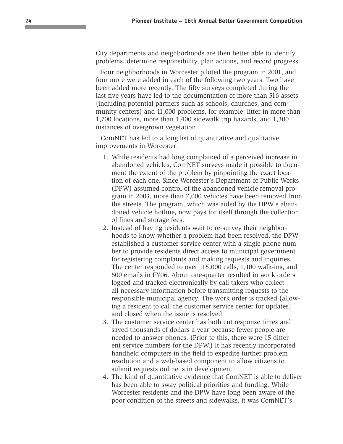City departments and neighborhoods are then better able to identify problems, determine responsibility, plan actions, and record progress.

Four neighborhoods in Worcester piloted the program in 2001, and four more were added in each of the following two years. Two have been added more recently. The fifty surveys completed during the last five years have led to the documentation of more than 516 assets (including potential partners such as schools, churches, and community centers) and 11,000 problems, for example: litter in more than 1,700 locations, more than 1,400 sidewalk trip hazards, and 1,300 instances of overgrown vegetation.

ComNET has led to a long list of quantitative and qualitative improvements in Worcester:

- 1. While residents had long complained of a perceived increase in abandoned vehicles, ComNET surveys made it possible to document the extent of the problem by pinpointing the exact location of each one. Since Worcester's Department of Public Works (DPW) assumed control of the abandoned vehicle removal program in 2003, more than 7,000 vehicles have been removed from the streets. The program, which was aided by the DPW's abandoned vehicle hotline, now pays for itself through the collection of fines and storage fees.
- 2. Instead of having residents wait to re-survey their neighborhoods to know whether a problem had been resolved, the DPW established a customer service center with a single phone number to provide residents direct access to municipal government for registering complaints and making requests and inquiries. The center responded to over 115,000 calls, 1,100 walk-ins, and 800 emails in FY06. About one-quarter resulted in work orders logged and tracked electronically by call takers who collect all necessary information before transmitting requests to the responsible municipal agency. The work order is tracked (allowing a resident to call the customer service center for updates) and closed when the issue is resolved.
- 3. The customer service center has both cut response times and saved thousands of dollars a year because fewer people are needed to answer phones. (Prior to this, there were 15 different service numbers for the DPW.) It has recently incorporated handheld computers in the field to expedite further problem resolution and a web-based component to allow citizens to submit requests online is in development.
- 4. The kind of quantitative evidence that ComNET is able to deliver has been able to sway political priorities and funding. While Worcester residents and the DPW have long been aware of the poor condition of the streets and sidewalks, it was ComNET's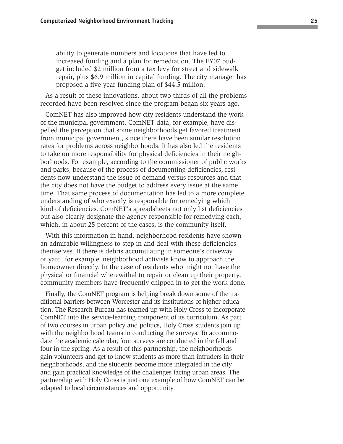ability to generate numbers and locations that have led to increased funding and a plan for remediation. The FY07 budget included \$2 million from a tax levy for street and sidewalk repair, plus \$6.9 million in capital funding. The city manager has proposed a five-year funding plan of \$44.5 million.

As a result of these innovations, about two-thirds of all the problems recorded have been resolved since the program began six years ago.

ComNET has also improved how city residents understand the work of the municipal government. ComNET data, for example, have dispelled the perception that some neighborhoods get favored treatment from municipal government, since there have been similar resolution rates for problems across neighborhoods. It has also led the residents to take on more responsibility for physical deficiencies in their neighborhoods. For example, according to the commissioner of public works and parks, because of the process of documenting deficiencies, residents now understand the issue of demand versus resources and that the city does not have the budget to address every issue at the same time. That same process of documentation has led to a more complete understanding of who exactly is responsible for remedying which kind of deficiencies. ComNET's spreadsheets not only list deficiencies but also clearly designate the agency responsible for remedying each, which, in about 25 percent of the cases, is the community itself.

With this information in hand, neighborhood residents have shown an admirable willingness to step in and deal with these deficiencies themselves. If there is debris accumulating in someone's driveway or yard, for example, neighborhood activists know to approach the homeowner directly. In the case of residents who might not have the physical or financial wherewithal to repair or clean up their property, community members have frequently chipped in to get the work done.

Finally, the ComNET program is helping break down some of the traditional barriers between Worcester and its institutions of higher education. The Research Bureau has teamed up with Holy Cross to incorporate ComNET into the service-learning component of its curriculum. As part of two courses in urban policy and politics, Holy Cross students join up with the neighborhood teams in conducting the surveys. To accommodate the academic calendar, four surveys are conducted in the fall and four in the spring. As a result of this partnership, the neighborhoods gain volunteers and get to know students as more than intruders in their neighborhoods, and the students become more integrated in the city and gain practical knowledge of the challenges facing urban areas. The partnership with Holy Cross is just one example of how ComNET can be adapted to local circumstances and opportunity.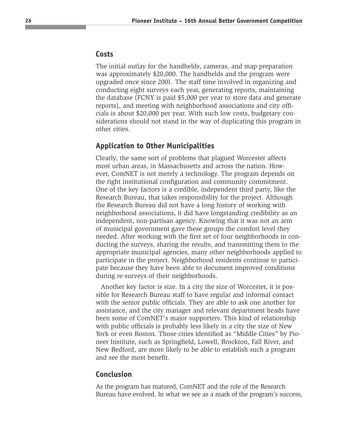#### **Costs**

The initial outlay for the handhelds, cameras, and map preparation was approximately \$20,000. The handhelds and the program were upgraded once since 2001. The staff time involved in organizing and conducting eight surveys each year, generating reports, maintaining the database (FCNY is paid \$5,000 per year to store data and generate reports), and meeting with neighborhood associations and city officials is about \$20,000 per year. With such low costs, budgetary considerations should not stand in the way of duplicating this program in other cities.

#### **Application to Other Municipalities**

Clearly, the same sort of problems that plagued Worcester affects most urban areas, in Massachusetts and across the nation. However, ComNET is not merely a technology. The program depends on the right institutional configuration and community commitment. One of the key factors is a credible, independent third party, like the Research Bureau, that takes responsibility for the project. Although the Research Bureau did not have a long history of working with neighborhood associations, it did have longstanding credibility as an independent, non-partisan agency. Knowing that it was not an arm of municipal government gave these groups the comfort level they needed. After working with the first set of four neighborhoods in conducting the surveys, sharing the results, and transmitting them to the appropriate municipal agencies, many other neighborhoods applied to participate in the project. Neighborhood residents continue to participate because they have been able to document improved conditions during re-surveys of their neighborhoods.

Another key factor is size. In a city the size of Worcester, it is possible for Research Bureau staff to have regular and informal contact with the senior public officials. They are able to ask one another for assistance, and the city manager and relevant department heads have been some of ComNET's major supporters. This kind of relationship with public officials is probably less likely in a city the size of New York or even Boston. Those cities identified as "Middle Cities" by Pioneer Institute, such as Springfield, Lowell, Brockton, Fall River, and New Bedford, are more likely to be able to establish such a program and see the most benefit.

#### **Conclusion**

As the program has matured, ComNET and the role of the Research Bureau have evolved. In what we see as a mark of the program's success,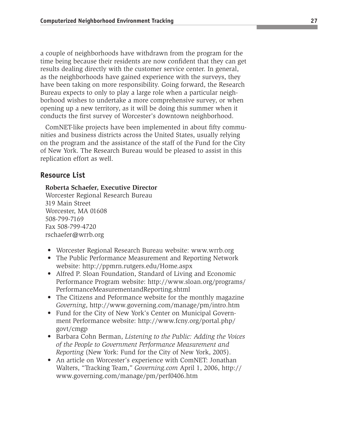a couple of neighborhoods have withdrawn from the program for the time being because their residents are now confident that they can get results dealing directly with the customer service center. In general, as the neighborhoods have gained experience with the surveys, they have been taking on more responsibility. Going forward, the Research Bureau expects to only to play a large role when a particular neighborhood wishes to undertake a more comprehensive survey, or when opening up a new territory, as it will be doing this summer when it conducts the first survey of Worcester's downtown neighborhood.

ComNET-like projects have been implemented in about fifty communities and business districts across the United States, usually relying on the program and the assistance of the staff of the Fund for the City of New York. The Research Bureau would be pleased to assist in this replication effort as well.

#### **Resource List**

#### **Roberta Schaefer, Executive Director**

Worcester Regional Research Bureau 319 Main Street Worcester, MA 01608 508-799-7169 Fax 508-799-4720 rschaefer@wrrb.org

- Worcester Regional Research Bureau website: www.wrrb.org
- The Public Performance Measurement and Reporting Network website: http://ppmrn.rutgers.edu/Home.aspx
- Alfred P. Sloan Foundation, Standard of Living and Economic Performance Program website: http://www.sloan.org/programs/ PerformanceMeasurementandReporting.shtml
- The Citizens and Peformance website for the monthly magazine *Governing*, http://www.governing.com/manage/pm/intro.htm
- Fund for the City of New York's Center on Municipal Government Performance website: http://www.fcny.org/portal.php/ govt/cmgp
- Barbara Cohn Berman, *Listening to the Public: Adding the Voices of the People to Government Performance Measurement and Reporting* (New York: Fund for the City of New York, 2005).
- An article on Worcester's experience with ComNET: Jonathan Walters, "Tracking Team," *Governing.com* April 1, 2006, http:// www.governing.com/manage/pm/perf0406.htm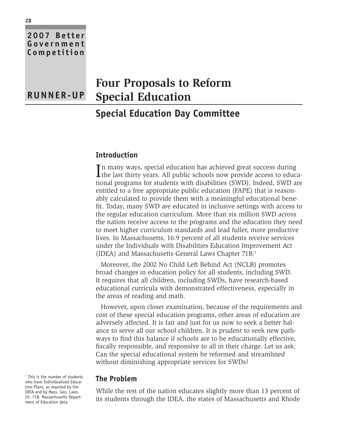| 2007 Better<br>Government<br>Competition |                                        |
|------------------------------------------|----------------------------------------|
|                                          | <b>Four Proposals to Reform</b>        |
| <b>RUNNER-UP</b>                         | <b>Special Education</b>               |
|                                          | <b>Special Education Day Committee</b> |

#### **Introduction**

In many ways, special education has achieved great success during<br>the last thirty years. All public schools now provide access to educan many ways, special education has achieved great success during tional programs for students with disabilities (SWD). Indeed, SWD are entitled to a free appropriate public education (FAPE) that is reasonably calculated to provide them with a meaningful educational benefit. Today, many SWD are educated in inclusive settings with access to the regular education curriculum. More than six million SWD across the nation receive access to the programs and the education they need to meet higher curriculum standards and lead fuller, more productive lives. In Massachusetts, 16.9 percent of all students receive services under the Individuals with Disabilities Education Improvement Act (IDEA) and Massachusetts General Laws Chapter 71B.<sup>1</sup>

Moreover, the 2002 No Child Left Behind Act (NCLB) promotes broad changes in education policy for all students, including SWD. It requires that all children, including SWDs, have research-based educational curricula with demonstrated effectiveness, especially in the areas of reading and math.

However, upon closer examination, because of the requirements and cost of these special education programs, other areas of education are adversely affected. It is fair and just for us now to seek a better balance to serve all our school children. It is prudent to seek new pathways to find this balance if schools are to be educationally effective, fiscally responsible, and responsive to all in their charge. Let us ask: Can the special educational system be reformed and streamlined without diminishing appropriate services for SWDs?

#### **The Problem**

While the rest of the nation educates slightly more than 13 percent of its students through the IDEA, the states of Massachusetts and Rhode

<sup>1</sup> This is the number of students who have Individualized Education Plans, as required by the IDEA and by Mass. Gen. Laws. Ch. 71B. Massachusetts Department of Education data.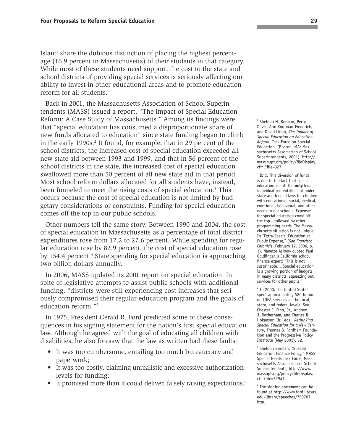Island share the dubious distinction of placing the highest percentage (16.9 percent in Massachusetts) of their students in that category. While most of these students need support, the cost to the state and school districts of providing special services is seriously affecting our ability to invest in other educational areas and to promote education reform for all students.

Back in 2001, the Massachusetts Association of School Superintendents (MASS) issued a report, "The Impact of Special Education Reform: A Case Study of Massachusetts." Among its findings were that "special education has consumed a disproportionate share of new funds allocated to education" since state funding began to climb in the early 1990s.<sup>2</sup> It found, for example, that in 29 percent of the school districts, the increased cost of special education exceeded all new state aid between 1993 and 1999, and that in 56 percent of the school districts in the state, the increased cost of special education swallowed more than 50 percent of all new state aid in that period. Most school reform dollars allocated for all students have, instead, been funneled to meet the rising costs of special education.<sup>3</sup> This occurs because the cost of special education is not limited by budgetary considerations or constraints. Funding for special education comes off the top in our public schools.

Other numbers tell the same story. Between 1990 and 2004, the cost of special education in Massachusetts as a percentage of total district expenditures rose from 17.2 to 27.6 percent. While spending for regular education rose by 82.9 percent, the cost of special education rose by 154.4 percent.<sup>4</sup> State spending for special education is approaching two billion dollars annually.

In 2006, MASS updated its 2001 report on special education. In spite of legislative attempts to assist public schools with additional funding, "districts were still experiencing cost increases that seriously compromised their regular education program and the goals of education reform."5

In 1975, President Gerald R. Ford predicted some of these consequences in his signing statement for the nation's first special education law. Although he agreed with the goal of educating all children with disabilities, he also foresaw that the law as written had these faults:

- It was too cumbersome, entailing too much bureaucracy and paperwork;
- It was too costly, claiming unrealistic and excessive authorization levels for funding;
- It promised more than it could deliver, falsely raising expectations.<sup>6</sup>

<sup>2</sup> Sheldon H. Berman, Perry Davis, Ann Koufman-Frederick, and David Urion, *The Impact of Special Education on Education Reform*, Task Force on Special Education, (Boston, MA: Massachusetts Association of School Superintendents, 2001), http:// mass.supt.org/policy/fileDisplay. cfm.?file=327.

<sup>3</sup> Ibid. This diversion of funds is due to the fact that special education is still the **only** legal individualized entitlement under state and federal laws for children with educational, social, medical, emotional, behavioral, and other needs in our schools. Expenses for special education come off the top—followed by other programming needs. The Massachusetts situation is not unique. In "Extra-Special Education at Public Expense," (*San Francisco Chronicle*, February 19, 2006, p. 1), Nanette Asimov quoted Paul Goldfinger, a California school finance expert: "This is not sustainable….Special education is a growing portion of budgets in many districts, squeezing out services for other pupils."

4 In 2000, the United States spent approximately \$80 billion on IDEA services at the local, state, and federal levels. See Chester E. Finn, Jr., Andrew J. Rotherham, and Charles R. Hokanson, Jr., eds., *Rethinking Special Education for a New Century*, Thomas B. Fordham Foundation and the Progressive Policy Institute (May 2001), 32.

<sup>5</sup> Sheldon Berman, "Special Education Finance Policy," MASS Special Needs Task Force, Massachusetts Association of School Superintendents, http://www. massupt.org/policy/fileDisplay. cfm?file=329#1.

6 The signing statement can be found at http://www.ford.utexas. edu/library/speeches/750707. htm.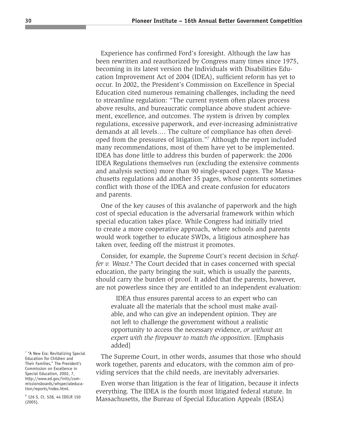Experience has confirmed Ford's foresight. Although the law has been rewritten and reauthorized by Congress many times since 1975, becoming in its latest version the Individuals with Disabilities Education Improvement Act of 2004 (IDEA), sufficient reform has yet to occur. In 2002, the President's Commission on Excellence in Special Education cited numerous remaining challenges, including the need to streamline regulation: "The current system often places process above results, and bureaucratic compliance above student achievement, excellence, and outcomes. The system is driven by complex regulations, excessive paperwork, and ever-increasing administrative demands at all levels…. The culture of compliance has often developed from the pressures of litigation."7 Although the report included many recommendations, most of them have yet to be implemented. IDEA has done little to address this burden of paperwork: the 2006 IDEA Regulations themselves run (excluding the extensive comments and analysis section) more than 90 single-spaced pages. The Massachusetts regulations add another 35 pages, whose contents sometimes conflict with those of the IDEA and create confusion for educators and parents.

One of the key causes of this avalanche of paperwork and the high cost of special education is the adversarial framework within which special education takes place. While Congress had initially tried to create a more cooperative approach, where schools and parents would work together to educate SWDs, a litigious atmosphere has taken over, feeding off the mistrust it promotes.

Consider, for example, the Supreme Court's recent decision in *Schaf*fer v. Weast.<sup>8</sup> The Court decided that in cases concerned with special education, the party bringing the suit, which is usually the parents, should carry the burden of proof. It added that the parents, however, are not powerless since they are entitled to an independent evaluation:

IDEA thus ensures parental access to an expert who can evaluate all the materials that the school must make available, and who can give an independent opinion. They are not left to challenge the government without a realistic opportunity to access the necessary evidence, *or without an expert with the firepower to match the opposition*. [Emphasis added]

The Supreme Court, in other words, assumes that those who should work together, parents and educators, with the common aim of providing services that the child needs, are inevitably adversaries.

Even worse than litigation is the fear of litigation, because it infects everything. The IDEA is the fourth most litigated federal statute. In Massachusetts, the Bureau of Special Education Appeals (BSEA)

<sup>7</sup> "A New Era: Revitalizing Special Education for Children and Their Families," The President's Commission on Excellence in Special Education, 2002, 7, http://www.ed.gov/inits/commissionsboards/whspecialeducation/reports/index.html.

8 126 S. Ct. 528, 44 IDELR 150 (2005).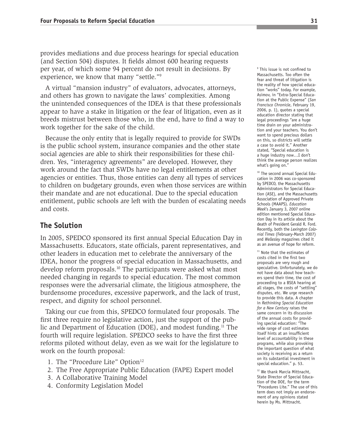provides mediations and due process hearings for special education (and Section 504) disputes. It fields almost 600 hearing requests per year, of which some 94 percent do not result in decisions. By experience, we know that many "settle."9

A virtual "mansion industry" of evaluators, advocates, attorneys, and others has grown to navigate the laws' complexities. Among the unintended consequences of the IDEA is that these professionals appear to have a stake in litigation or the fear of litigation, even as it breeds mistrust between those who, in the end, have to find a way to work together for the sake of the child.

Because the only entity that is legally required to provide for SWDs is the public school system, insurance companies and the other state social agencies are able to shirk their responsibilities for these children. Yes, "interagency agreements" are developed. However, they work around the fact that SWDs have no legal entitlements at other agencies or entities. Thus, those entities can deny all types of services to children on budgetary grounds, even when those services are within their mandate and are not educational. Due to the special education entitlement, public schools are left with the burden of escalating needs and costs.

#### **The Solution**

In 2005, SPEDCO sponsored its first annual Special Education Day in Massachusetts. Educators, state officials, parent representatives, and other leaders in education met to celebrate the anniversary of the IDEA, honor the progress of special education in Massachusetts, and develop reform proposals.10 The participants were asked what most needed changing in regards to special education. The most common responses were the adversarial climate, the litigious atmosphere, the burdensome procedures, excessive paperwork, and the lack of trust, respect, and dignity for school personnel.

Taking our cue from this, SPEDCO formulated four proposals. The first three require no legislative action, just the support of the public and Department of Education (DOE), and modest funding.11 The fourth will require legislation. SPEDCO seeks to have the first three reforms piloted without delay, even as we wait for the legislature to work on the fourth proposal:

- 1. The "Procedure Lite" Option<sup>12</sup>
- 2. The Free Appropriate Public Education (FAPE) Expert model
- 3. A Collaborative Training Model
- 4. Conformity Legislation Model

<sup>9</sup> This issue is not confined to Massachusetts. Too often the fear and threat of litigation is the reality of how special education "works" today. For example, Asimov, in "Extra-Special Education at the Public Expense" (*San Francisco Chronicle*, February 19, 2006, p. 1), quotes a special education director stating that legal proceedings "are a huge time drain on your administration and your teachers. You don't want to spend precious dollars on this, so districts will settle a case to avoid it." Another stated, "Special education is a huge industry now…I don't think the average person realizes what's going on."

<sup>10</sup> The second annual Special Education in 2006 was co-sponsored by SPEDCO, the Massachusetts Administrators for Special Education (ASE), and the Massachusetts Association of Approved Private Schools (MAAPS). *Education Week*'s January 3, 2007 online edition mentioned Special Education Day in its article about the death of President Gerald R. Ford. Recently, both the *Lexington Colonial Times* (February-March 2007) and *Wellesley* magazines cited it as an avenue of hope for reform.

<sup>11</sup> Note that the estimates of costs cited in the first two proposals are very rough and speculative. Unfortunately, we do not have data about how teachers spend their time, the cost of proceeding to a BSEA hearing at all stages, the costs of "settling" disputes, etc. We urge research to provide this data. A chapter in *Rethinking Special Education for a New Century* raises the same concern in its discussion of the annual costs for providing special education: "The wide range of cost estimates itself hints at an insufficient level of accountability in these programs, while also provoking the important question of what society is receiving as a return on its substantial investment in special education." p. 53.

<sup>12</sup> We thank Marcia Mittnacht, State Director of Special Education of the DOE, for the term "Procedures Lite." The use of this term does not imply an endorsement of any opinions stated herein by Ms. Mittnacht.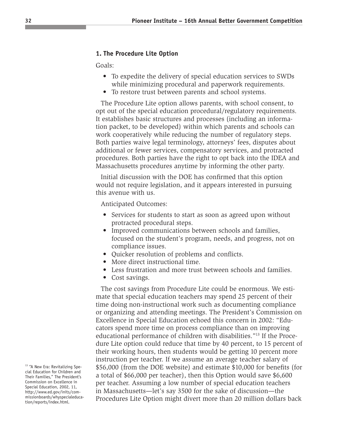#### **1. The Procedure Lite Option**

Goals:

- To expedite the delivery of special education services to SWDs while minimizing procedural and paperwork requirements.
- To restore trust between parents and school systems.

The Procedure Lite option allows parents, with school consent, to opt out of the special education procedural/regulatory requirements. It establishes basic structures and processes (including an information packet, to be developed) within which parents and schools can work cooperatively while reducing the number of regulatory steps. Both parties waive legal terminology, attorneys' fees, disputes about additional or fewer services, compensatory services, and protracted procedures. Both parties have the right to opt back into the IDEA and Massachusetts procedures anytime by informing the other party.

Initial discussion with the DOE has confirmed that this option would not require legislation, and it appears interested in pursuing this avenue with us.

Anticipated Outcomes:

- Services for students to start as soon as agreed upon without protracted procedural steps.
- Improved communications between schools and families, focused on the student's program, needs, and progress, not on compliance issues.
- Quicker resolution of problems and conflicts.
- More direct instructional time.
- Less frustration and more trust between schools and families.
- Cost savings.

The cost savings from Procedure Lite could be enormous. We estimate that special education teachers may spend 25 percent of their time doing non-instructional work such as documenting compliance or organizing and attending meetings. The President's Commission on Excellence in Special Education echoed this concern in 2002: "Educators spend more time on process compliance than on improving educational performance of children with disabilities."13 If the Procedure Lite option could reduce that time by 40 percent, to 15 percent of their working hours, then students would be getting 10 percent more instruction per teacher. If we assume an average teacher salary of \$56,000 (from the DOE website) and estimate \$10,000 for benefits (for a total of \$66,000 per teacher), then this Option would save \$6,600 per teacher. Assuming a low number of special education teachers in Massachusetts—let's say 3500 for the sake of discussion—the Procedures Lite Option might divert more than 20 million dollars back

<sup>&</sup>lt;sup>13</sup> "A New Era: Revitalizing Special Education for Children and Their Families," The President's Commission on Excellence in Special Education, 2002, 11, http://www.ed.gov/inits/commissionboards/whyspecialeducation/reports/index.html.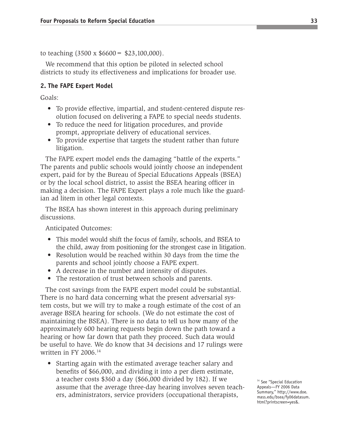to teaching  $(3500 \times $6600 = $23,100,000)$ .

We recommend that this option be piloted in selected school districts to study its effectiveness and implications for broader use.

#### **2. The FAPE Expert Model**

Goals:

- To provide effective, impartial, and student-centered dispute resolution focused on delivering a FAPE to special needs students.
- To reduce the need for litigation procedures, and provide prompt, appropriate delivery of educational services.
- To provide expertise that targets the student rather than future litigation.

The FAPE expert model ends the damaging "battle of the experts." The parents and public schools would jointly choose an independent expert, paid for by the Bureau of Special Educations Appeals (BSEA) or by the local school district, to assist the BSEA hearing officer in making a decision. The FAPE Expert plays a role much like the guardian ad litem in other legal contexts.

The BSEA has shown interest in this approach during preliminary discussions.

Anticipated Outcomes:

- This model would shift the focus of family, schools, and BSEA to the child, away from positioning for the strongest case in litigation.
- Resolution would be reached within 30 days from the time the parents and school jointly choose a FAPE expert.
- A decrease in the number and intensity of disputes.
- The restoration of trust between schools and parents.

The cost savings from the FAPE expert model could be substantial. There is no hard data concerning what the present adversarial system costs, but we will try to make a rough estimate of the cost of an average BSEA hearing for schools. (We do not estimate the cost of maintaining the BSEA). There is no data to tell us how many of the approximately 600 hearing requests begin down the path toward a hearing or how far down that path they proceed. Such data would be useful to have. We do know that 34 decisions and 17 rulings were written in FY 2006.14

• Starting again with the estimated average teacher salary and benefits of \$66,000, and dividing it into a per diem estimate, a teacher costs \$360 a day (\$66,000 divided by 182). If we assume that the average three-day hearing involves seven teachers, administrators, service providers (occupational therapists,

<sup>14</sup> See "Special Education Appeals—FY 2006 Data Summary," http://www.doe. mass.edu/bsea/fy06datasum. html?printscreen=yes&.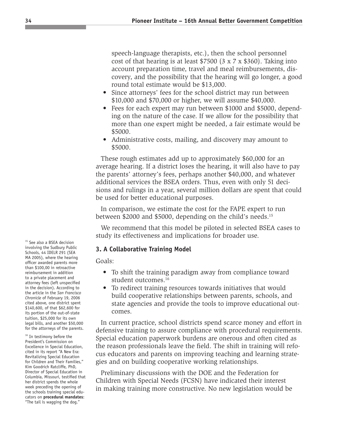speech-language therapists, etc.), then the school personnel cost of that hearing is at least \$7500 (3 x 7 x \$360). Taking into account preparation time, travel and meal reimbursements, discovery, and the possibility that the hearing will go longer, a good round total estimate would be \$13,000.

- Since attorneys' fees for the school district may run between \$10,000 and \$70,000 or higher, we will assume \$40,000.
- Fees for each expert may run between \$1000 and \$5000, depending on the nature of the case. If we allow for the possibility that more than one expert might be needed, a fair estimate would be \$5000.
- Administrative costs, mailing, and discovery may amount to \$5000.

These rough estimates add up to approximately \$60,000 for an average hearing. If a district loses the hearing, it will also have to pay the parents' attorney's fees, perhaps another \$40,000, and whatever additional services the BSEA orders. Thus, even with only 51 decisions and rulings in a year, several million dollars are spent that could be used for better educational purposes.

In comparison, we estimate the cost for the FAPE expert to run between \$2000 and \$5000, depending on the child's needs.15

We recommend that this model be piloted in selected BSEA cases to study its effectiveness and implications for broader use.

#### **3. A Collaborative Training Model**

Goals:

- To shift the training paradigm away from compliance toward student outcomes.<sup>16</sup>
- To redirect training resources towards initiatives that would build cooperative relationships between parents, schools, and state agencies and provide the tools to improve educational outcomes.

In current practice, school districts spend scarce money and effort in defensive training to assure compliance with procedural requirements. Special education paperwork burdens are onerous and often cited as the reason professionals leave the field. The shift in training will refocus educators and parents on improving teaching and learning strategies and on building cooperative working relationships.

Preliminary discussions with the DOE and the Federation for Children with Special Needs (FCSN) have indicated their interest in making training more constructive. No new legislation would be

<sup>15</sup> See also a BSEA decision involving the Sudbury Public Schools, 44 IDELR 291 (SEA MA 2005), where the hearing officer awarded parents more than \$100,00 in retroactive reimbursement in addition to a private placement and attorney fees (left unspecified in the decision). According to the article in the *San Francisco Chronicle* of February 19, 2006 cited above, one district spent \$140,600, of that \$62,600 for its portion of the out-of-state tuition, \$25,000 for its own legal bills, and another \$50,000 for the attorneys of the parents.

<sup>16</sup> In testimony before the President's Commission on Excellence in Special Education, cited in its report "A New Era: Revitalizing Special Education for Children and Their Families," Kim Goodrich Ratcliffe, PhD, Director of Special Education in Columbia, Missouri, testified that her district spends the whole week preceding the opening of the schools training special educators on **procedural mandates**: "The tail is wagging the dog."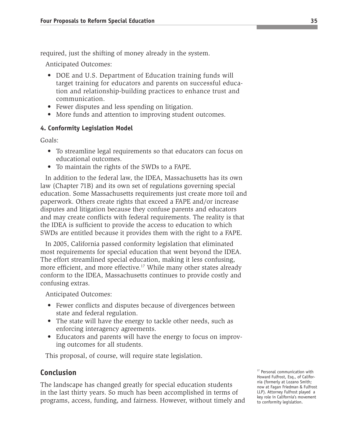required, just the shifting of money already in the system.

Anticipated Outcomes:

- DOE and U.S. Department of Education training funds will target training for educators and parents on successful education and relationship-building practices to enhance trust and communication.
- Fewer disputes and less spending on litigation.
- More funds and attention to improving student outcomes.

#### **4. Conformity Legislation Model**

Goals:

- To streamline legal requirements so that educators can focus on educational outcomes.
- To maintain the rights of the SWDs to a FAPE.

In addition to the federal law, the IDEA, Massachusetts has its own law (Chapter 71B) and its own set of regulations governing special education. Some Massachusetts requirements just create more toil and paperwork. Others create rights that exceed a FAPE and/or increase disputes and litigation because they confuse parents and educators and may create conflicts with federal requirements. The reality is that the IDEA is sufficient to provide the access to education to which SWDs are entitled because it provides them with the right to a FAPE.

In 2005, California passed conformity legislation that eliminated most requirements for special education that went beyond the IDEA. The effort streamlined special education, making it less confusing, more efficient, and more effective.<sup>17</sup> While many other states already conform to the IDEA, Massachusetts continues to provide costly and confusing extras.

Anticipated Outcomes:

- Fewer conflicts and disputes because of divergences between state and federal regulation.
- The state will have the energy to tackle other needs, such as enforcing interagency agreements.
- Educators and parents will have the energy to focus on improving outcomes for all students.

This proposal, of course, will require state legislation.

#### **Conclusion**

The landscape has changed greatly for special education students in the last thirty years. So much has been accomplished in terms of programs, access, funding, and fairness. However, without timely and

<sup>17</sup> Personal communication with Howard Fulfrost, Esq., of California (formerly at Lozano Smith; now at Fagan Friedman & Fulfrost LLP). Attorney Fulfrost played a key role in California's movement to conformity legislation.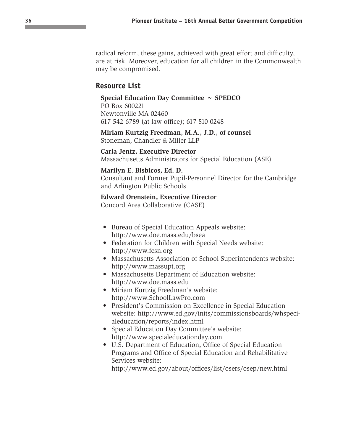radical reform, these gains, achieved with great effort and difficulty, are at risk. Moreover, education for all children in the Commonwealth may be compromised.

#### **Resource List**

#### **Special Education Day Committee ~ SPEDCO**

PO Box 600221 Newtonville MA 02460 617-542-6789 (at law office); 617-510-0248

**Miriam Kurtzig Freedman, M.A., J.D., of counsel** Stoneman, Chandler & Miller LLP

**Carla Jentz, Executive Director** Massachusetts Administrators for Special Education (ASE)

#### **Marilyn E. Bisbicos, Ed. D.**

Consultant and Former Pupil-Personnel Director for the Cambridge and Arlington Public Schools

#### **Edward Orenstein, Executive Director**

Concord Area Collaborative (CASE)

- Bureau of Special Education Appeals website: http://www.doe.mass.edu/bsea
- Federation for Children with Special Needs website: http://www.fcsn.org
- Massachusetts Association of School Superintendents website: http://www.massupt.org
- Massachusetts Department of Education website: http://www.doe.mass.edu
- Miriam Kurtzig Freedman's website: http://www.SchoolLawPro.com
- President's Commission on Excellence in Special Education website: http://www.ed.gov/inits/commissionsboards/whspecialeducation/reports/index.html
- Special Education Day Committee's website: http://www.specialeducationday.com
- U.S. Department of Education, Office of Special Education Programs and Office of Special Education and Rehabilitative Services website:

http://www.ed.gov/about/offices/list/osers/osep/new.html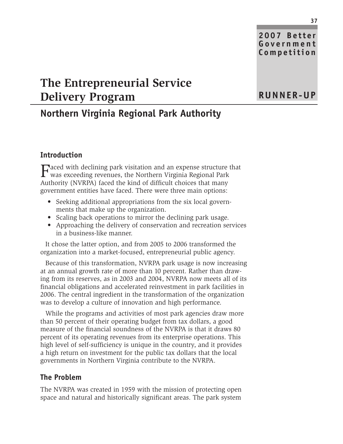**2007 Better Government Competition**

**RUNNER-UP**

## **The Entrepreneurial Service Delivery Program**

## **Northern Virginia Regional Park Authority**

#### **Introduction**

Faced with declining park visitation and an expense structure that was exceeding revenues, the Northern Virginia Regional Park Authority (NVRPA) faced the kind of difficult choices that many government entities have faced. There were three main options:

- Seeking additional appropriations from the six local governments that make up the organization.
- Scaling back operations to mirror the declining park usage.
- Approaching the delivery of conservation and recreation services in a business-like manner.

It chose the latter option, and from 2005 to 2006 transformed the organization into a market-focused, entrepreneurial public agency.

Because of this transformation, NVRPA park usage is now increasing at an annual growth rate of more than 10 percent. Rather than drawing from its reserves, as in 2003 and 2004, NVRPA now meets all of its financial obligations and accelerated reinvestment in park facilities in 2006. The central ingredient in the transformation of the organization was to develop a culture of innovation and high performance.

While the programs and activities of most park agencies draw more than 50 percent of their operating budget from tax dollars, a good measure of the financial soundness of the NVRPA is that it draws 80 percent of its operating revenues from its enterprise operations. This high level of self-sufficiency is unique in the country, and it provides a high return on investment for the public tax dollars that the local governments in Northern Virginia contribute to the NVRPA.

#### **The Problem**

The NVRPA was created in 1959 with the mission of protecting open space and natural and historically significant areas. The park system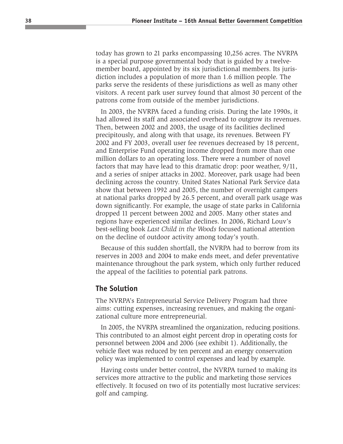today has grown to 21 parks encompassing 10,256 acres. The NVRPA is a special purpose governmental body that is guided by a twelvemember board, appointed by its six jurisdictional members. Its jurisdiction includes a population of more than 1.6 million people. The parks serve the residents of these jurisdictions as well as many other visitors. A recent park user survey found that almost 30 percent of the patrons come from outside of the member jurisdictions.

In 2003, the NVRPA faced a funding crisis. During the late 1990s, it had allowed its staff and associated overhead to outgrow its revenues. Then, between 2002 and 2003, the usage of its facilities declined precipitously, and along with that usage, its revenues. Between FY 2002 and FY 2003, overall user fee revenues decreased by 18 percent, and Enterprise Fund operating income dropped from more than one million dollars to an operating loss. There were a number of novel factors that may have lead to this dramatic drop: poor weather, 9/11, and a series of sniper attacks in 2002. Moreover, park usage had been declining across the country. United States National Park Service data show that between 1992 and 2005, the number of overnight campers at national parks dropped by 26.5 percent, and overall park usage was down significantly. For example, the usage of state parks in California dropped 11 percent between 2002 and 2005. Many other states and regions have experienced similar declines. In 2006, Richard Louv's best-selling book *Last Child in the Woods* focused national attention on the decline of outdoor activity among today's youth.

Because of this sudden shortfall, the NVRPA had to borrow from its reserves in 2003 and 2004 to make ends meet, and defer preventative maintenance throughout the park system, which only further reduced the appeal of the facilities to potential park patrons.

#### **The Solution**

The NVRPA's Entrepreneurial Service Delivery Program had three aims: cutting expenses, increasing revenues, and making the organizational culture more entrepreneurial.

In 2005, the NVRPA streamlined the organization, reducing positions. This contributed to an almost eight percent drop in operating costs for personnel between 2004 and 2006 (see exhibit 1). Additionally, the vehicle fleet was reduced by ten percent and an energy conservation policy was implemented to control expenses and lead by example.

Having costs under better control, the NVRPA turned to making its services more attractive to the public and marketing those services effectively. It focused on two of its potentially most lucrative services: golf and camping.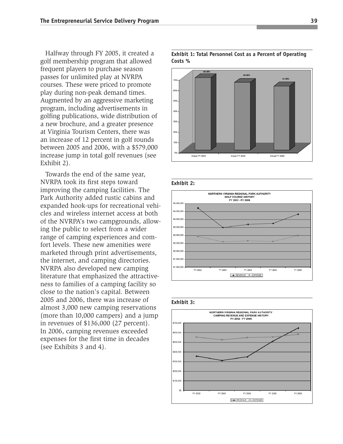Halfway through FY 2005, it created a golf membership program that allowed frequent players to purchase season passes for unlimited play at NVRPA courses. These were priced to promote play during non-peak demand times. Augmented by an aggressive marketing program, including advertisements in golfing publications, wide distribution of a new brochure, and a greater presence at Virginia Tourism Centers, there was an increase of 12 percent in golf rounds between 2005 and 2006, with a \$579,000 increase jump in total golf revenues (see Exhibit 2).

Towards the end of the same year, NVRPA took its first steps toward improving the camping facilities. The Park Authority added rustic cabins and expanded hook-ups for recreational vehicles and wireless internet access at both of the NVRPA's two campgrounds, allowing the public to select from a wider range of camping experiences and comfort levels. These new amenities were marketed through print advertisements, the internet, and camping directories. NVRPA also developed new camping literature that emphasized the attractiveness to families of a camping facility so close to the nation's capital. Between 2005 and 2006, there was increase of almost 3,000 new camping reservations (more than 10,000 campers) and a jump in revenues of \$136,000 (27 percent). In 2006, camping revenues exceeded expenses for the first time in decades (see Exhibits 3 and 4).

#### **Exhibit 1: Total Personnel Cost as a Percent of Operating Costs %**









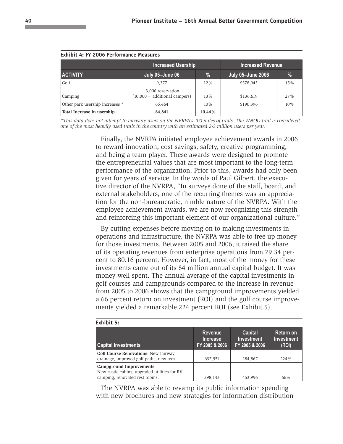|                                 | <b>Increased Usership</b>                            | <b>Increased Revenue</b> |                          |               |  |
|---------------------------------|------------------------------------------------------|--------------------------|--------------------------|---------------|--|
| <b>ACTIVITY</b>                 | July 05-June 06                                      | %                        | <b>July 05-June 2006</b> | $\frac{9}{6}$ |  |
| Golf                            | 9,377                                                | 12%                      | \$578,943                | 15%           |  |
| Camping                         | 3,000 reservation<br>$(10,000 + additional campers)$ | 13%                      | \$136,619                | 27%           |  |
| Other park usership increases * | 65,464                                               | 10%                      | \$190,396                | 10%           |  |
| Total Increase in usership      | 84,841                                               | 10.44%                   |                          |               |  |

| <b>Exhibit 4: FY 2006 Performance Measures</b> |  |
|------------------------------------------------|--|
|------------------------------------------------|--|

**Exhibit 5:** 

*\*This data does not attempt to measure users on the NVRPA's 100 miles of trails. The W&OD trail is considered one of the most heavily used trails in the country with an estimated 2-3 million users per year.*

> Finally, the NVRPA initiated employee achievement awards in 2006 to reward innovation, cost savings, safety, creative programming, and being a team player. These awards were designed to promote the entrepreneurial values that are most important to the long-term performance of the organization. Prior to this, awards had only been given for years of service. In the words of Paul Gilbert, the executive director of the NVRPA, "In surveys done of the staff, board, and external stakeholders, one of the recurring themes was an appreciation for the non-bureaucratic, nimble nature of the NVRPA. With the employee achievement awards, we are now recognizing this strength and reinforcing this important element of our organizational culture."

> By cutting expenses before moving on to making investments in operations and infrastructure, the NVRPA was able to free up money for those investments. Between 2005 and 2006, it raised the share of its operating revenues from enterprise operations from 79.34 percent to 80.16 percent. However, in fact, most of the money for these investments came out of its \$4 million annual capital budget. It was money well spent. The annual average of the capital investments in golf courses and campgrounds compared to the increase in revenue from 2005 to 2006 shows that the campground improvements yielded a 66 percent return on investment (ROI) and the golf course improvements yielded a remarkable 224 percent ROI (see Exhibit 5).

| LAIIIDIL J.                                                                                                |                                                     |                                                |                                         |  |  |
|------------------------------------------------------------------------------------------------------------|-----------------------------------------------------|------------------------------------------------|-----------------------------------------|--|--|
| <b>Capital Investments</b>                                                                                 | <b>Revenue</b><br><b>Increase</b><br>FY 2005 & 2006 | Capital<br><b>Investment</b><br>FY 2005 & 2006 | Return on<br><b>Investment</b><br>(ROI) |  |  |
| <b>Golf Course Renovations: New fairway</b><br>drainage, improved golf paths, new tees.                    | 637,951                                             | 284,867                                        | 224%                                    |  |  |
| Campground Improvements:<br>New rustic cabins, upgraded utilities for RV<br>camping, renovated rest rooms. | 298,143                                             | 453,996                                        | 66%                                     |  |  |

The NVRPA was able to revamp its public information spending with new brochures and new strategies for information distribution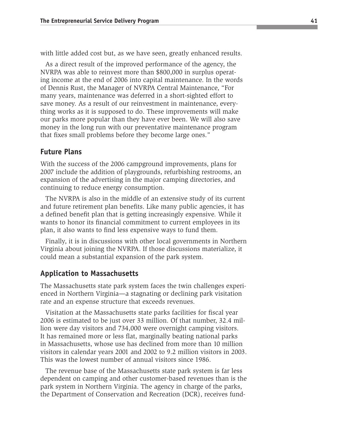with little added cost but, as we have seen, greatly enhanced results.

As a direct result of the improved performance of the agency, the NVRPA was able to reinvest more than \$800,000 in surplus operating income at the end of 2006 into capital maintenance. In the words of Dennis Rust, the Manager of NVRPA Central Maintenance, "For many years, maintenance was deferred in a short-sighted effort to save money. As a result of our reinvestment in maintenance, everything works as it is supposed to do. These improvements will make our parks more popular than they have ever been. We will also save money in the long run with our preventative maintenance program that fixes small problems before they become large ones."

#### **Future Plans**

With the success of the 2006 campground improvements, plans for 2007 include the addition of playgrounds, refurbishing restrooms, an expansion of the advertising in the major camping directories, and continuing to reduce energy consumption.

The NVRPA is also in the middle of an extensive study of its current and future retirement plan benefits. Like many public agencies, it has a defined benefit plan that is getting increasingly expensive. While it wants to honor its financial commitment to current employees in its plan, it also wants to find less expensive ways to fund them.

Finally, it is in discussions with other local governments in Northern Virginia about joining the NVRPA. If those discussions materialize, it could mean a substantial expansion of the park system.

#### **Application to Massachusetts**

The Massachusetts state park system faces the twin challenges experienced in Northern Virginia—a stagnating or declining park visitation rate and an expense structure that exceeds revenues.

Visitation at the Massachusetts state parks facilities for fiscal year 2006 is estimated to be just over 33 million. Of that number, 32.4 million were day visitors and 734,000 were overnight camping visitors. It has remained more or less flat, marginally beating national parks in Massachusetts, whose use has declined from more than 10 million visitors in calendar years 2001 and 2002 to 9.2 million visitors in 2003. This was the lowest number of annual visitors since 1986.

The revenue base of the Massachusetts state park system is far less dependent on camping and other customer-based revenues than is the park system in Northern Virginia. The agency in charge of the parks, the Department of Conservation and Recreation (DCR), receives fund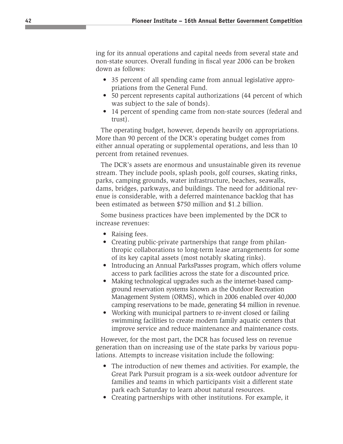ing for its annual operations and capital needs from several state and non-state sources. Overall funding in fiscal year 2006 can be broken down as follows:

- 35 percent of all spending came from annual legislative appropriations from the General Fund.
- 50 percent represents capital authorizations (44 percent of which was subject to the sale of bonds).
- 14 percent of spending came from non-state sources (federal and trust).

The operating budget, however, depends heavily on appropriations. More than 90 percent of the DCR's operating budget comes from either annual operating or supplemental operations, and less than 10 percent from retained revenues.

The DCR's assets are enormous and unsustainable given its revenue stream. They include pools, splash pools, golf courses, skating rinks, parks, camping grounds, water infrastructure, beaches, seawalls, dams, bridges, parkways, and buildings. The need for additional revenue is considerable, with a deferred maintenance backlog that has been estimated as between \$750 million and \$1.2 billion.

Some business practices have been implemented by the DCR to increase revenues:

- Raising fees.
- Creating public-private partnerships that range from philanthropic collaborations to long-term lease arrangements for some of its key capital assets (most notably skating rinks).
- Introducing an Annual ParksPasses program, which offers volume access to park facilities across the state for a discounted price.
- Making technological upgrades such as the internet-based campground reservation systems known as the Outdoor Recreation Management System (ORMS), which in 2006 enabled over 40,000 camping reservations to be made, generating \$4 million in revenue.
- Working with municipal partners to re-invent closed or failing swimming facilities to create modern family aquatic centers that improve service and reduce maintenance and maintenance costs.

However, for the most part, the DCR has focused less on revenue generation than on increasing use of the state parks by various populations. Attempts to increase visitation include the following:

- The introduction of new themes and activities. For example, the Great Park Pursuit program is a six-week outdoor adventure for families and teams in which participants visit a different state park each Saturday to learn about natural resources.
- Creating partnerships with other institutions. For example, it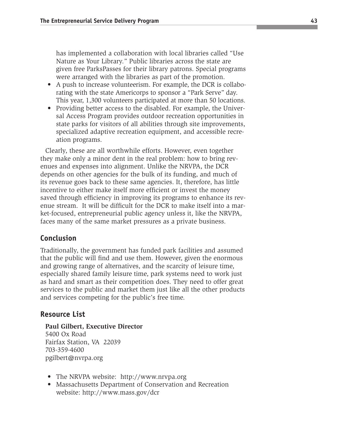has implemented a collaboration with local libraries called "Use Nature as Your Library." Public libraries across the state are given free ParksPasses for their library patrons. Special programs were arranged with the libraries as part of the promotion.

- A push to increase volunteerism. For example, the DCR is collaborating with the state Americorps to sponsor a "Park Serve" day. This year, 1,300 volunteers participated at more than 50 locations.
- Providing better access to the disabled. For example, the Universal Access Program provides outdoor recreation opportunities in state parks for visitors of all abilities through site improvements, specialized adaptive recreation equipment, and accessible recreation programs.

Clearly, these are all worthwhile efforts. However, even together they make only a minor dent in the real problem: how to bring revenues and expenses into alignment. Unlike the NRVPA, the DCR depends on other agencies for the bulk of its funding, and much of its revenue goes back to these same agencies. It, therefore, has little incentive to either make itself more efficient or invest the money saved through efficiency in improving its programs to enhance its revenue stream. It will be difficult for the DCR to make itself into a market-focused, entrepreneurial public agency unless it, like the NRVPA, faces many of the same market pressures as a private business.

#### **Conclusion**

Traditionally, the government has funded park facilities and assumed that the public will find and use them. However, given the enormous and growing range of alternatives, and the scarcity of leisure time, especially shared family leisure time, park systems need to work just as hard and smart as their competition does. They need to offer great services to the public and market them just like all the other products and services competing for the public's free time.

#### **Resource List**

#### **Paul Gilbert, Executive Director**

5400 Ox Road Fairfax Station, VA 22039 703-359-4600 pgilbert@nvrpa.org

- The NRVPA website: http://www.nrvpa.org
- Massachusetts Department of Conservation and Recreation website: http://www.mass.gov/dcr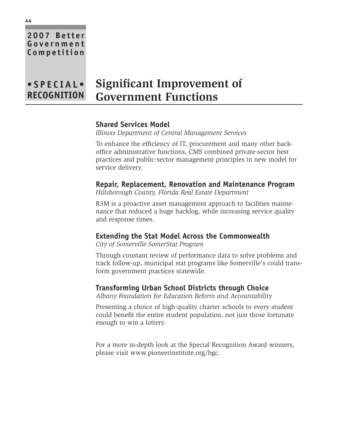## **Government Competition**

**2007 Better**

#### **• S P E C I AL• RECOGNITION Significant Improvement of Government Functions**

#### **Shared Services Model**

*Illinois Department of Central Management Services*

To enhance the efficiency of IT, procurement and many other backoffice administrative functions, CMS combined private-sector best practices and public-sector management principles in new model for service delivery.

**Repair, Replacement, Renovation and Maintenance Program** *Hillsborough County, Florida Real Estate Department*

R3M is a proactive asset management approach to facilities maintenance that reduced a huge backlog, while increasing service quality and response times.

#### **Extending the Stat Model Across the Commonwealth**

*City of Somerville SomerStat Program*

Through constant review of performance data to solve problems and track follow-up, municipal stat programs like Somerville's could transform government practices statewide.

#### **Transforming Urban School Districts through Choice**

*Albany Foundation for Education Reform and Accountability*

Presenting a choice of high-quality charter schools to every student could benefit the entire student population, not just those fortunate enough to win a lottery.

For a more in-depth look at the Special Recognition Award winners, please visit www.pioneerinstitute.org/bgc.